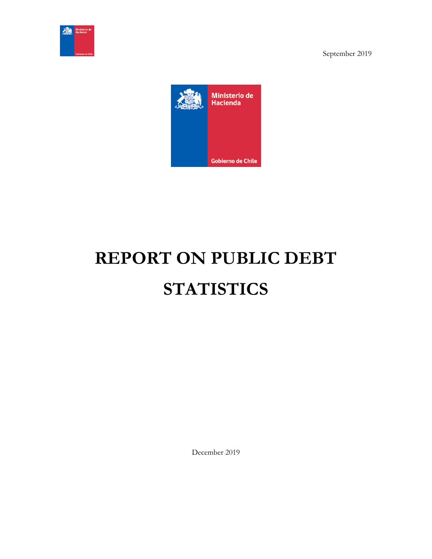



# **REPORT ON PUBLIC DEBT STATISTICS**

December 2019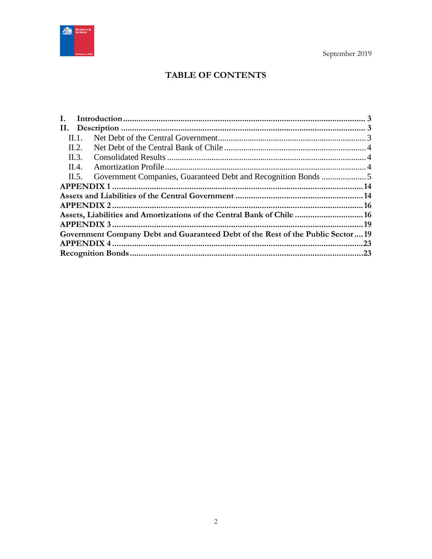

# TABLE OF CONTENTS

| Ι.    |                                                                                |  |
|-------|--------------------------------------------------------------------------------|--|
|       |                                                                                |  |
| Н. 1. |                                                                                |  |
| II.2. |                                                                                |  |
| II.3. |                                                                                |  |
| II.4. |                                                                                |  |
| II.5. |                                                                                |  |
|       |                                                                                |  |
|       |                                                                                |  |
|       |                                                                                |  |
|       | Assets, Liabilities and Amortizations of the Central Bank of Chile  16         |  |
|       |                                                                                |  |
|       | Government Company Debt and Guaranteed Debt of the Rest of the Public Sector19 |  |
|       |                                                                                |  |
|       |                                                                                |  |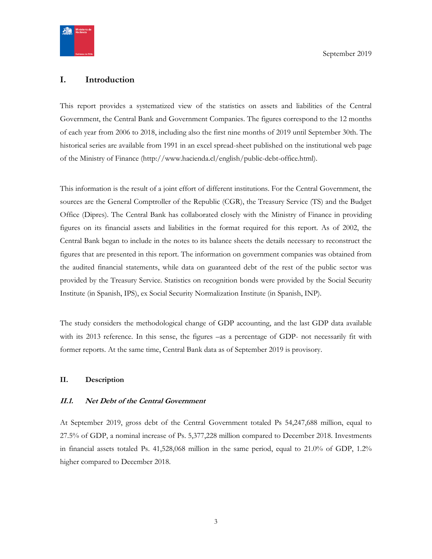

## <span id="page-2-0"></span>**I. Introduction**

This report provides a systematized view of the statistics on assets and liabilities of the Central Government, the Central Bank and Government Companies. The figures correspond to the 12 months of each year from 2006 to 2018, including also the first nine months of 2019 until September 30th. The historical series are available from 1991 in an excel spread-sheet published on the institutional web page of the Ministry of Finance (http://www.hacienda.cl/english/public-debt-office.html).

This information is the result of a joint effort of different institutions. For the Central Government, the sources are the General Comptroller of the Republic (CGR), the Treasury Service (TS) and the Budget Office (Dipres). The Central Bank has collaborated closely with the Ministry of Finance in providing figures on its financial assets and liabilities in the format required for this report. As of 2002, the Central Bank began to include in the notes to its balance sheets the details necessary to reconstruct the figures that are presented in this report. The information on government companies was obtained from the audited financial statements, while data on guaranteed debt of the rest of the public sector was provided by the Treasury Service. Statistics on recognition bonds were provided by the Social Security Institute (in Spanish, IPS), ex Social Security Normalization Institute (in Spanish, INP).

The study considers the methodological change of GDP accounting, and the last GDP data available with its 2013 reference. In this sense, the figures –as a percentage of GDP- not necessarily fit with former reports. At the same time, Central Bank data as of September 2019 is provisory.

#### <span id="page-2-1"></span>**II. Description**

#### <span id="page-2-2"></span>**II.1. Net Debt of the Central Government**

At September 2019, gross debt of the Central Government totaled Ps 54,247,688 million, equal to 27.5% of GDP, a nominal increase of Ps. 5,377,228 million compared to December 2018. Investments in financial assets totaled Ps. 41,528,068 million in the same period, equal to 21.0% of GDP, 1.2% higher compared to December 2018.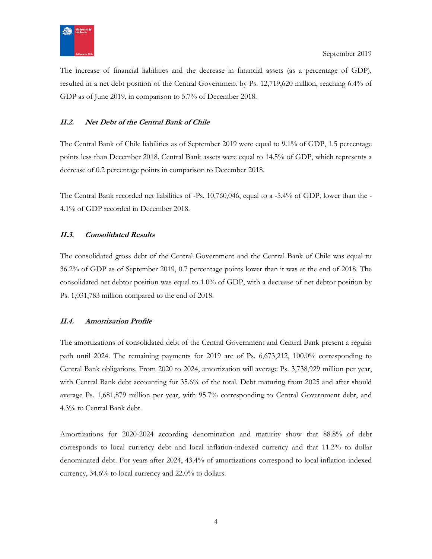

The increase of financial liabilities and the decrease in financial assets (as a percentage of GDP), resulted in a net debt position of the Central Government by Ps. 12,719,620 million, reaching 6.4% of GDP as of June 2019, in comparison to 5.7% of December 2018.

## <span id="page-3-0"></span>**II.2. Net Debt of the Central Bank of Chile**

The Central Bank of Chile liabilities as of September 2019 were equal to 9.1% of GDP, 1.5 percentage points less than December 2018. Central Bank assets were equal to 14.5% of GDP, which represents a decrease of 0.2 percentage points in comparison to December 2018.

The Central Bank recorded net liabilities of -Ps. 10,760,046, equal to a -5.4% of GDP, lower than the - 4.1% of GDP recorded in December 2018.

## <span id="page-3-1"></span>**II.3. Consolidated Results**

The consolidated gross debt of the Central Government and the Central Bank of Chile was equal to 36.2% of GDP as of September 2019, 0.7 percentage points lower than it was at the end of 2018. The consolidated net debtor position was equal to 1.0% of GDP, with a decrease of net debtor position by Ps. 1,031,783 million compared to the end of 2018.

## <span id="page-3-2"></span>**II.4. Amortization Profile**

The amortizations of consolidated debt of the Central Government and Central Bank present a regular path until 2024. The remaining payments for 2019 are of Ps. 6,673,212, 100.0% corresponding to Central Bank obligations. From 2020 to 2024, amortization will average Ps. 3,738,929 million per year, with Central Bank debt accounting for 35.6% of the total. Debt maturing from 2025 and after should average Ps. 1,681,879 million per year, with 95.7% corresponding to Central Government debt, and 4.3% to Central Bank debt.

Amortizations for 2020-2024 according denomination and maturity show that 88.8% of debt corresponds to local currency debt and local inflation-indexed currency and that 11.2% to dollar denominated debt. For years after 2024, 43.4% of amortizations correspond to local inflation-indexed currency, 34.6% to local currency and 22.0% to dollars.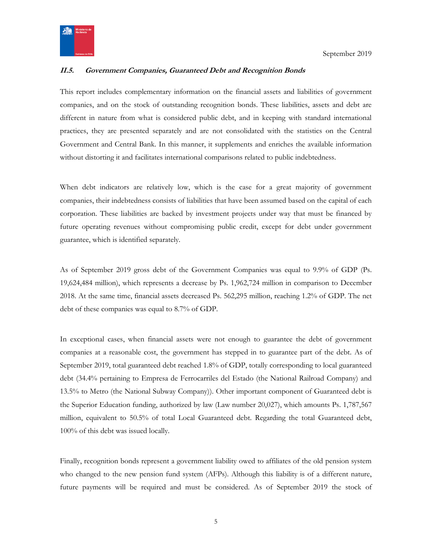

## <span id="page-4-0"></span>**II.5. Government Companies, Guaranteed Debt and Recognition Bonds**

This report includes complementary information on the financial assets and liabilities of government companies, and on the stock of outstanding recognition bonds. These liabilities, assets and debt are different in nature from what is considered public debt, and in keeping with standard international practices, they are presented separately and are not consolidated with the statistics on the Central Government and Central Bank. In this manner, it supplements and enriches the available information without distorting it and facilitates international comparisons related to public indebtedness.

When debt indicators are relatively low, which is the case for a great majority of government companies, their indebtedness consists of liabilities that have been assumed based on the capital of each corporation. These liabilities are backed by investment projects under way that must be financed by future operating revenues without compromising public credit, except for debt under government guarantee, which is identified separately.

As of September 2019 gross debt of the Government Companies was equal to 9.9% of GDP (Ps. 19,624,484 million), which represents a decrease by Ps. 1,962,724 million in comparison to December 2018. At the same time, financial assets decreased Ps. 562,295 million, reaching 1.2% of GDP. The net debt of these companies was equal to 8.7% of GDP.

In exceptional cases, when financial assets were not enough to guarantee the debt of government companies at a reasonable cost, the government has stepped in to guarantee part of the debt. As of September 2019, total guaranteed debt reached 1.8% of GDP, totally corresponding to local guaranteed debt (34.4% pertaining to Empresa de Ferrocarriles del Estado (the National Railroad Company) and 13.5% to Metro (the National Subway Company)). Other important component of Guaranteed debt is the Superior Education funding, authorized by law (Law number 20,027), which amounts Ps. 1,787,567 million, equivalent to 50.5% of total Local Guaranteed debt. Regarding the total Guaranteed debt, 100% of this debt was issued locally.

Finally, recognition bonds represent a government liability owed to affiliates of the old pension system who changed to the new pension fund system (AFPs). Although this liability is of a different nature, future payments will be required and must be considered. As of September 2019 the stock of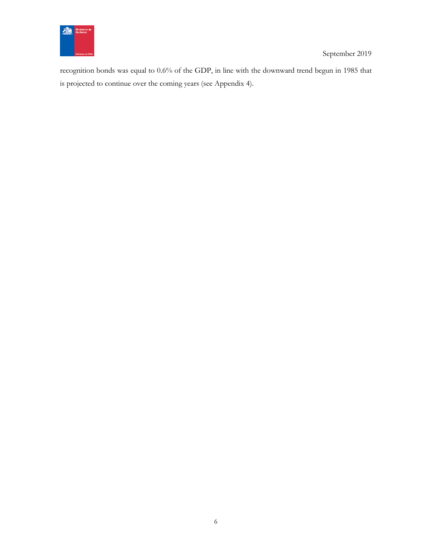

recognition bonds was equal to 0.6% of the GDP, in line with the downward trend begun in 1985 that is projected to continue over the coming years (see Appendix 4).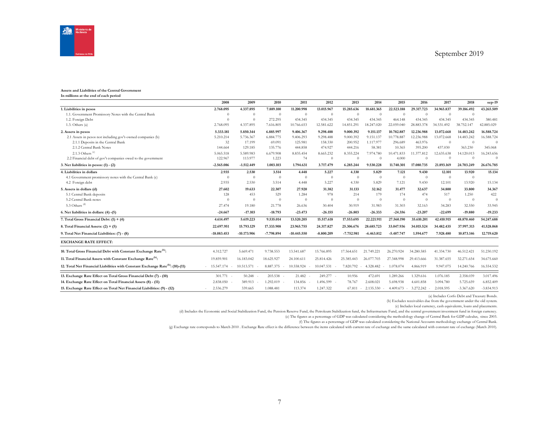

#### **Assets and Liabilities of the Central Government**

**In millions at the end of each period**

|                                                                                            | 2008                    | 2009          | 2010         | 2011           | 2012           | 2013         | 2014           | 2015           | 2016       | 2017           | 2018           | sep-19       |
|--------------------------------------------------------------------------------------------|-------------------------|---------------|--------------|----------------|----------------|--------------|----------------|----------------|------------|----------------|----------------|--------------|
| 1. Liabilities in pesos                                                                    | 2.768.095               | 4.337.895     | 7.889.100    | 11.200.998     | 13.015.967     | 15.285.636   | 18.681.365     | 22.523.188     | 29.317.723 | 34.965.837     | 39.186.492     | 43.265.509   |
| 1.1. Government Promissory Notes with the Central Bank                                     | $\Omega$                | $\theta$      | $\theta$     | $\overline{0}$ | $\overline{0}$ | $\theta$     | $\overline{0}$ | $\overline{0}$ | $\theta$   | $\overline{0}$ | $\theta$       |              |
| 1.2. Foreign Debt                                                                          | $\Omega$                | $\Omega$      | 272.295      | 434.345        | 434.345        | 434.345      | 434.345        | 464.148        | 434.345    | 434.345        | 434.345        | 380.481      |
| 1.3. Others $(a)$                                                                          | 2.768.095               | 4.337.895     | 7.616.805    | 10.766.653     | 12.581.622     | 14.851.291   | 18.247.020     | 22.059.040     | 28.883.378 | 34.531.492     | 38.752.147     | 42.885.029   |
| 2. Assets in pesos                                                                         | 5.333.181               | 5.850.344     | 6.885.997    | 9.406.367      | 9.298.488      | 9.000.392    | 9.151.137      | 10.782.887     | 12.236.988 | 13.072.668     | 14.483.242     | 16.588.724   |
| 2.1 Assets in pesos not including gov't-owned companies (b)                                | 5.210.214               | 5.736.367     | 6.884.775    | 9.406.293      | 9.298.488      | 9.000.392    | 9.151.137      | 10.778.887     | 12.236.988 | 13.072.668     | 14.483.242     | 16.588.724   |
| 2.1.1 Deposits in the Central Bank                                                         | 32                      | 17.199        | 69.091       | 125.981        | 158.330        | 200.952      | 1.117.977      | 296.689        | 463.976    | $\theta$       | $\theta$       | $\Omega$     |
| 2.1.2 Central Bank Notes                                                                   | 144.664                 | 129.185       | 135.776      | 444.858        | 474.927        | 444.216      | 58.381         | 10.365         | 395.200    | 437.030        | 363.230        | 345.068      |
| 2.1.3 Others <sup>(c)</sup>                                                                | 5.065.518               | 5.589.983     | 6.679.908    | 8.835.454      | 8.665.232      | 8.355.224    | 7.974.780      | 10.471.833     | 11.377.812 | 12.635.638     | 14.120.013     | 16.243.656   |
| 2.2 Financial debt of gov't companies owed to the government                               | 122.967                 | 113,977       | 1.223        | 74             | $\overline{0}$ | $\Omega$     | $\Omega$       | 4.000          | $\Omega$   | $\Omega$       | $\Omega$       | $\Omega$     |
| 3. Net liabilities in pesos: $(1) - (2)$                                                   | $-2.565.086$            | $-1.512.449$  | 1.003.103    | 1.794.631      | 3.717.479      | 6.285.244    | 9.530.228      | 11.740.301     | 17.080.735 | 21.893.169     | 24,703,249     | 26.676.785   |
| 4. Liabilities in dollars                                                                  | 2.935                   | 2.530         | 3.514        | 4.448          | 5.227          | 4.330        | 5.829          | 7.121          | 9.430      | 12.101         | 13.920         | 15.134       |
| 4.1 Government promissory notes with the Central Bank (c)                                  | $\Omega$                | $\theta$      | $\theta$     | $\theta$       | $\overline{0}$ | $\theta$     | $\theta$       | $\theta$       | $\theta$   | $\theta$       | $\theta$       |              |
| 4.2 Foreign debt                                                                           | 2.935                   | 2.530         | 3.514        | 4.448          | 5.227          | 4.330        | 5.829          | 7.121          | 9.430      | 12.101         | 13.920         | 15.134       |
| 5. Assets in dollars (d)                                                                   | 27.602                  | 19.633        | 22.307       | 27.920         | 31.382         | 31.133       | 32.162         | 31.477         | 32.637     | 34.800         | 33.800         | 34.367       |
| 5.1 Central Bank deposits                                                                  | 128                     | 453           | 529          | 1.284          | 978            | 214          | 179            | 174            | 474        | 517            | 1.250          | 422          |
| 5.2 Central Bank notes                                                                     | $\Omega$                | $\theta$      | $\theta$     | $\Omega$       | $\theta$       | $\theta$     | $\theta$       | $\theta$       | $\theta$   | $\theta$       | $\overline{0}$ | $\Omega$     |
| 5.3 Others $(d)$                                                                           | 27.474                  | 19.180        | 21.778       | 26.636         | 30.404         | 30.919       | 31.983         | 31.303         | 32.163     | 34.283         | 32.550         | 33.945       |
| 6. Net liabilities in dollars: (4) -(5)                                                    | $-24.667$               | $-17.103$     | $-18.793$    | $-23.473$      | $-26.155$      | $-26.803$    | $-26.333$      | $-24.356$      | $-23.207$  | $-22.699$      | $-19.880$      | $-19.233$    |
| 7. Total Gross Financial Debt: $(1) + (4)$                                                 | 4.614.497               | 5.619.223     | 9.535.014    | 13.520.205     | 15.517.618     | 17.553.695   | 22.221.911     | 27.560.190     | 35.610.201 | 42.410.915     | 48.870.460     | 54.247.688   |
| 8. Total Financial Assets: $(2) + (5)$                                                     | 22.697.951              | 15.793.129    | 17.333.908   | 23.965.755     | 24.317.827     | 25.306.676   | 28.685.723     | 33.047.936     | 34.015.524 | 34.482.435     | 37.997.313     | 41.528.068   |
| 9. Total Net Financial Liabilities: (7) - (8)                                              | $-18.083.453$           | $-10.173.906$ | $-7.798.894$ | $-10.445.550$  | $-8.800.209$   | $-7.752.981$ | $-6.463.812$   | $-5.487.747$   | 1.594.677  | 7.928.480      | 10.873.146     | 12,719,620   |
| <b>EXCHANGE RATE EFFECT:</b>                                                               |                         |               |              |                |                |              |                |                |            |                |                |              |
| 10. Total Gross Financial Debt with Constant Exchange Rate <sup>(h)</sup> :                | 4.312.727               | 5.669.471     | 9.738.553    | 13.541.687     | 15.766.895     | 17.564.651   | 21.749.221     | 26.270.924     | 34.280.585 | 41.334.730     | 46.512.421     | 51.230.192   |
| 11. Total Financial Assets with Constant Exchange Rate <sup>(h)</sup> :                    | 19.859.901              | 16.183.042    | 18.625.927   | 24.100.611     | 25.814.426     | 25.385.443   | 26.077.703     | 27.348.998     | 29.413.666 | 31.387.655     | 32.271.654     | 34.675.660   |
| 12. Total Net Financial Liabilities with Constant Exchange Rate <sup>(h)</sup> : (10)-(11) | $-15.547.174$<br>$\sim$ | 10.513.571    | 8.887.375    | 10.558.924     | 10.047.531     | 7.820.792    | 4.328.482      | 1.078.074      | 4.866.919  | 9.947.075      | 14.240.766     | 16.554.532   |
| 13. Exchange Rate Effect on Total Gross Financial Debt (7) - (10)                          | $301.771 -$             | 50.248        | 203.538      | 21.482         | 249.277 -      | 10.956       | 472.691        | 1.289.266      | 1.329.616  | 1.076.185      | 2.358.039      | 3.017.496    |
| 14. Exchange Rate Effect on Total Financial Assets (8) - (11)                              | 2.838.050               | 389.913       | 1.292.019    | 134,856        | 1.496.599 -    | 78.767       | 2.608.021      | 5.698.938      | 4.601.858  | 3.094.780      | 5.725.659      | 6.852.409    |
| 15. Exchange Rate Effect on Total Net Financial Liabilities: (9) - (12)                    | 2.536.279               | 339.665       | 1.088.481    | 113.374        | 1.247.322      | 67.811       | 2.135.330      | 4.409.673      | 3.272.242  | 2.018.595      | $-3.367.620$   | $-3.834.913$ |

(a) Includes Corfo Debt and Treasury Bonds.

(b) Excludes receivables due from the government under the old system.

(c) Includes local currency, cash equivalents, loans and placements.

(d) Includes the Economic and Social Stabilization Fund, the Pension Reserve Fund, the Petroleum Stabilization fund, the Infrastructure Fund, and the central government investment fund in foreign currency.

(e) The figures as a percentage of GDP was calculated considering the methodology change of Central Bank for GDP calculus, since 2003.

(f) The figures as a percentage of GDP was calculated considering the National Accounts methodology exchange of Central Bank.

(g) Exchange rate corresponds to March 2010 . Exchange Rate effect is the difference between the items calculated with current rate of exchange and the same calculated with constant rate of exchange (March 2010).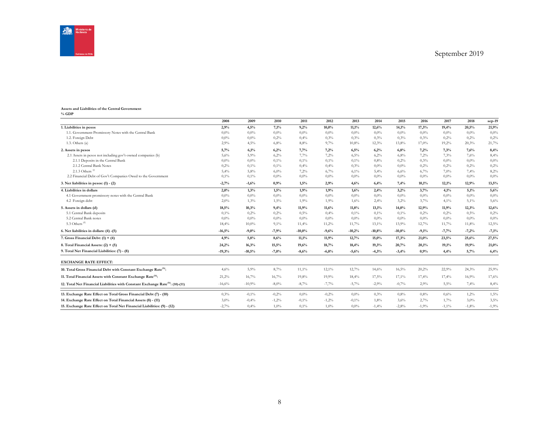

#### **Assets and Liabilities of the Central Government % GDP**

|                                                                                            | 2008     | 2009     | 2010     | 2011     | 2012    | 2013     | 2014     | 2015     | 2016    | 2017     | 2018    | sep-19  |
|--------------------------------------------------------------------------------------------|----------|----------|----------|----------|---------|----------|----------|----------|---------|----------|---------|---------|
| 1. Liabilities in pesos                                                                    | 2,9%     | 4,5%     | 7,1%     | 9,2%     | 10,0%   | 11,1%    | 12,6%    | 14,1%    | 17,3%   | 19,4%    | 20,5%   | 21,9%   |
| 1.1. Government Promissory Notes with the Central Bank                                     | $0.0\%$  | $0.0\%$  | $0.0\%$  | $0.0\%$  | $0.0\%$ | $0.0\%$  | 0,0%     | $0.0\%$  | $0.0\%$ | $0.0\%$  | $0.0\%$ | $0.0\%$ |
| 1.2. Foreign Debt                                                                          | 0.0%     | $0.0\%$  | 0,2%     | 0,4%     | 0,3%    | 0.3%     | 0,3%     | 0,3%     | 0,3%    | 0,2%     | 0,2%    | 0,2%    |
| 1.3. Others(a)                                                                             | 2,9%     | 4,5%     | 6,8%     | 8,8%     | 9,7%    | 10,8%    | 12,3%    | 13,8%    | 17,0%   | 19,2%    | 20,3%   | 21,7%   |
| 2. Assets in pesos                                                                         | 5,7%     | 6,1%     | 6,2%     | 7,7%     | 7,2%    | 6,5%     | 6,2%     | 6,8%     | 7.2%    | 7.3%     | 7,6%    | 8,4%    |
| 2.1 Assets in pesos not including gov't-owned companies (b)                                | 5.6%     | 5,9%     | 6,2%     | 7.7%     | 7.2%    | 6.5%     | 6,2%     | 6,8%     | 7,2%    | 7.3%     | 7.6%    | 8,4%    |
| 2.1.1 Deposits in the Central Bank                                                         | $0.0\%$  | 0,0%     | 0,1%     | 0,1%     | 0,1%    | 0,1%     | 0.8%     | 0,2%     | 0,3%    | $0.0\%$  | $0.0\%$ | 0.0%    |
| 2.1.2 Central Bank Notes                                                                   | 0.2%     | 0,1%     | 0,1%     | 0,4%     | 0,4%    | 0.3%     | 0,0%     | $0.0\%$  | 0,2%    | 0.2%     | 0,2%    | 0,2%    |
| 2.1.3 Others $(6)$                                                                         | 5,4%     | 5,8%     | 6,0%     | 7,2%     | 6,7%    | 6,1%     | 5,4%     | 6,6%     | 6,7%    | 7,0%     | 7,4%    | 8,2%    |
| 2.2 Financial Debt of Gov't Companies Owed to the Government                               | 0,1%     | 0,1%     | $0.0\%$  | $0.0\%$  | $0.0\%$ | 0.0%     | 0,0%     | 0,0%     | $0.0\%$ | $0.0\%$  | $0.0\%$ | $0.0\%$ |
| 3. Net liabilities in pesos: $(1) - (2)$                                                   | $-2,7%$  | $-1,6%$  | 0,9%     | 1,5%     | 2,9%    | 4,6%     | 6,4%     | 7,4%     | 10,1%   | 12,1%    | 12,9%   | 13,5%   |
| 4. Liabilities in dollars                                                                  | 2,0%     | 1,3%     | 1,5%     | 1,9%     | 1,9%    | 1,6%     | 2,4%     | 3,2%     | 3,7%    | 4,1%     | 5,1%    | 5,6%    |
| 4.1 Government promissory notes with the Central Bank                                      | 0.0%     | $0.0\%$  | $0.0\%$  | $0.0\%$  | $0.0\%$ | 0.0%     | 0,0%     | 0,0%     | $0.0\%$ | $0.0\%$  | $0.0\%$ | $0.0\%$ |
| 4.2 Foreign debt                                                                           | 2,0%     | 1,3%     | 1,5%     | 1,9%     | 1,9%    | 1,6%     | 2,4%     | 3,2%     | 3,7%    | 4,1%     | 5,1%    | 5,6%    |
| 5. Assets in dollars (d)                                                                   | 18,5%    | 10,3%    | 9,4%     | 11,9%    | 11,6%   | 11,8%    | 13,1%    | 14,0%    | 12,9%   | 11,9%    | 12,3%   | 12,6%   |
| 5.1 Central Bank deposits                                                                  | 0,1%     | 0,2%     | 0,2%     | 0,5%     | 0,4%    | 0,1%     | 0,1%     | 0,1%     | 0,2%    | 0,2%     | 0,5%    | 0,2%    |
| 5.2 Central Bank notes                                                                     | 0.0%     | $0.0\%$  | $0,0\%$  | $0.0\%$  | $0.0\%$ | 0.0%     | 0,0%     | 0,0%     | $0.0\%$ | $0.0\%$  | $0.0\%$ | $0,0\%$ |
| 5.3 Others <sup>(d)</sup>                                                                  | 18,4%    | 10,0%    | 9,1%     | 11,4%    | 11,2%   | 11,7%    | 13,1%    | 13,9%    | 12,7%   | 11,7%    | 11,8%   | 12,5%   |
| 6. Net liabilities in dollars: (4) -(5)                                                    | $-16,5%$ | $-9,0%$  | $-7,9%$  | $-10,0%$ | $-9,6%$ | $-10,2%$ | $-10,8%$ | $-10,8%$ | $-9,1%$ | $-7,7%$  | $-7,2%$ | $-7,1%$ |
| 7. Gross Financial Debt: $(1) + (4)$                                                       | 4,9%     | 5,8%     | 8,6%     | 11,1%    | 11,9%   | 12,7%    | 15,0%    | 17,3%    | 21,0%   | 23,5%    | 25,6%   | 27,5%   |
| 8. Total Financial Assets: $(2) + (5)$                                                     | 24,2%    | 16,3%    | 15,5%    | 19,6%    | 18,7%   | 18,4%    | 19,3%    | 20,7%    | 20,1%   | 19,1%    | 19,9%   | 21,0%   |
| 9. Total Net Financial Liabilities: (7) - (8)                                              | $-19,3%$ | $-10,5%$ | $-7,0%$  | $-8,6%$  | $-6,8%$ | $-5,6%$  | $-4,3%$  | $-3,4%$  | 0.9%    | 4,4%     | 5,7%    | 6,4%    |
| <b>EXCHANGE RATE EFFECT:</b>                                                               |          |          |          |          |         |          |          |          |         |          |         |         |
| 10. Total Gross Financial Debt with Constant Exchange Rate <sup>(h)</sup> :                | 4.6%     | 5,9%     | 8,7%     | 11,1%    | 12,1%   | 12,7%    | 14,6%    | 16,5%    | 20,2%   | 22,9%    | 24.3%   | 25,9%   |
| 11. Total Financial Assets with Constant Exchange Rate <sup>(h)</sup> :                    | 21,2%    | 16,7%    | 16,7%    | 19,8%    | 19,9%   | 18,4%    | 17,5%    | 17,1%    | 17,4%   | 17,4%    | 16,9%   | 17,6%   |
| 12. Total Net Financial Liabilities with Constant Exchange Rate <sup>(h)</sup> : (10)-(11) | $-16,6%$ | $-10,9%$ | $-8,0\%$ | $-8,7%$  | $-7,7%$ | $-5,7%$  | $-2,9%$  | $-0,7%$  | 2,9%    | 5,5%     | 7,4%    | 8,4%    |
| 13. Exchange Rate Effect on Total Gross Financial Debt (7) - (10)                          | 0.3%     | $-0.1%$  | $-0,2%$  | $0.0\%$  | $-0,2%$ | 0.0%     | 0,3%     | 0.8%     | 0.8%    | 0,6%     | 1,2%    | 1,5%    |
| 14. Exchange Rate Effect on Total Financial Assets (8) - (11)                              | $3.0\%$  | $-0,4%$  | $-1,2%$  | $-0.1%$  | $-1,2%$ | $-0,1\%$ | 1,8%     | 3,6%     | 2,7%    | 1,7%     | 3,0%    | 3,5%    |
| 15. Exchange Rate Effect on Total Net Financial Liabilities: (9) - (12)                    | $-2.7%$  | 0.4%     | $1.0\%$  | 0,1%     | 1.0%    | 0.0%     | $-1,4%$  | $-2,8%$  | $-1,9%$ | $-1,1\%$ | $-1,8%$ | $-1,9%$ |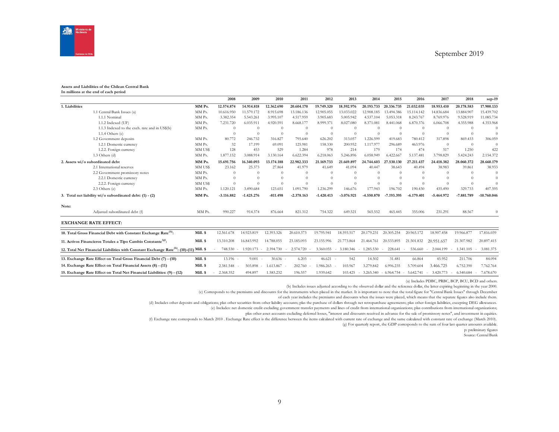

#### **Assets and Liabilities of the Chilean Central Bank In millions at the end of each period**

|                |                                                                                                     |          | 2008         | 2009         | 2010                                  | 2011         | 2012         | 2013                | 2014         | 2015         | 2016         | 2017         | 2018         | $sep-19$      |
|----------------|-----------------------------------------------------------------------------------------------------|----------|--------------|--------------|---------------------------------------|--------------|--------------|---------------------|--------------|--------------|--------------|--------------|--------------|---------------|
| 1. Liabilities |                                                                                                     | MM Ps.   | 12.574.874   | 14.914.818   | 12.362.690                            | 20.604.170   | 19.749.320   | 18.592.976          | 20.193.733   | 20.336.735   | 21.032.035   | 18.953.410   | 20.178.583   | 17.900.133    |
|                | 1.1 Central Bank Issues (a)                                                                         | MM Ps.   | 10.616.950   | 11.579.172   | 8.915.698                             | 13.186.136   | 12.905.055   | 13.033.022          | 12.908.185   | 13.494.386   | 15.114.142   | 14.836.684   | 13.884.907   | 15.439.702    |
|                | 1.1.1 Nominal                                                                                       | MM Ps.   | 3.382.354    | 5.543.261    | 3.995.107                             | 4.517.959    | 3.905.683    | 5.005.942           | 4.537.104    | 5.053.318    | 8.243.767    | 8.769.976    | 9.528.919    | 11.085.734    |
|                | 1.1.2 Indexed (UF)                                                                                  | MM Ps.   | 7.231.720    | 6.035.911    | 4.920.591                             | 8.668.177    | 8.999.371    | 8.027.080           | 8.371.081    | 8.441.068    | 6.870.376    | 6.066.708    | 4.355.988    | 4.353.968     |
|                | 1.1.3 Indexed to the exch. rate and in US\$(b)                                                      | MM Ps.   | $\Omega$     | $\Omega$     | $\Omega$                              |              | $\Omega$     | $\Omega$            | $\Omega$     | $\Omega$     | $\Omega$     | $\Omega$     | $\Omega$     | $\theta$      |
|                | $1.1.4$ Others $(c)$                                                                                |          | $\Omega$     | $\Omega$     | $\theta$                              | $\Omega$     | $\theta$     | $\Omega$            | $\Omega$     | $\Omega$     | $\Omega$     | $\Omega$     | $\theta$     | $\sqrt{ }$    |
|                | 1.2 Government deposits                                                                             | MM Ps.   | 80,772       | 246.732      | 316.827                               | 795.640      | 626.202      | 313.057             | 1.226.599    | 419.683      | 780.412      | 317,898      | 869.433      | 306.059       |
|                | 1.2.1 Domestic currency                                                                             | MM Ps.   | 32           | 17.199       | 69.091                                | 125.981      | 158.330      | 200.952             | 1.117.977    | 296.689      | 463.976      | $\Omega$     | $\Omega$     | -0            |
|                | 1.2.2. Foreign currency                                                                             | MM US\$  | 128          | 453          | 529                                   | 1.284        | 978          | 214                 | 179          | 174          | 474          | 517          | 1.250        | 422           |
|                | $1.3$ Others (d)                                                                                    | MM Ps.   | 1.877.152    | 3.088.914    | 3.130.164                             | 6.622.394    | 6.218.063    | 5.246.896           | 6.058.949    | 6.422.667    | 5.137.481    | 3.798.829    | 5.424.243    | 2.154.372     |
|                | 2. Assets wi/o subordinated debt                                                                    | MM Ps.   | 15.691.756   | 16.340.093   | 13.174.188                            | 22.982.333   | 21.169.733   | 21.669.897          | 24,744,603   | 27.530.130   | 27.211.437   | 24.418.382   | 28.060.372   | 28.660.179    |
|                | 2.1 International reserves                                                                          | MM US\$  | 23.162       | 25.373       | 27.864                                | 41.979       | 41.649       | 41.094              | 40,447       | 38.643       | 40,494       | 38.983       | 39.861       | 38.933        |
|                | 2.2 Government promissory notes                                                                     | MM Ps.   | $\Omega$     | $\Omega$     | $\Omega$                              |              | $\Omega$     | $\theta$            | $\theta$     | $\Omega$     | $\Omega$     | $\Omega$     | $\Omega$     | $\Omega$      |
|                | 2.2.1 Domestic currency                                                                             | MM Ps.   | $\Omega$     | $\Omega$     | $\Omega$                              |              | $\Omega$     | $\Omega$            | $\Omega$     | $\Omega$     | $\Omega$     | $\Omega$     | $\Omega$     | $\Omega$      |
|                | 2.2.2. Foreign currency                                                                             | MM US\$  | $\Omega$     |              | $\Omega$                              |              | $\Omega$     | $\Omega$            | $\Omega$     | $\Omega$     | $\Omega$     |              | $\Omega$     | $\Omega$      |
|                | 2.3 Others (e)                                                                                      | MM Ps.   | 1.120.121    | 3.490.684    | 123.651                               | 1.091.790    | 1.236.299    | 146.676             | 177.943      | 196.702      | 190.430      | 435.490      | 329.733      | 407.595       |
|                | 3. Total net liability wi/o subordinated debt: (1) - (2)                                            | MM Ps.   | $-3.116.882$ | $-1.425.276$ | $-811.498$                            | $-2.378.163$ | $-1.420.413$ | $-3.076.921$        | $-4.550.870$ | -7.193.395   | $-6.179.401$ | $-5.464.972$ | $-7.881.789$ | $-10.760.046$ |
| Note:          |                                                                                                     |          |              |              |                                       |              |              |                     |              |              |              |              |              |               |
|                | Adjusted subordinated debt (f)                                                                      | MM Ps.   | 990.227      | 914.374      | 876.664                               | 821.312      | 754.322      | 649.521             | 565.552      | 465.445      | 355.006      | 231.291      | 88.567       | $\Omega$      |
|                | <b>EXCHANGE RATE EFFECT:</b>                                                                        |          |              |              |                                       |              |              |                     |              |              |              |              |              |               |
|                | 10. Total Gross Financial Debt with Constant Exchange Rate <sup>(h)</sup> :                         | Mill. \$ | 12.561.678   | 14.923.819   | 12.393.326                            | 20.610.373   | 19.795.941   | 18.593.517          | 20.179.231   | 20.305.254   | 20.965.172   | 18.907.458   | 19.966.877   | 17.816.039    |
|                | 11. Activos Financieros Totales a Tipo Cambio Constante <sup>(g)</sup> :                            | Mill. \$ | 13.310.208   | 16.843.992   | 14.788.055                            | 23.185.093   | 23.155.996   | 21,773,864          | 21.464.761   | 20.533.895   | 21.501.832   | 20.951.657   | 21.307.982   | 20.897.415    |
|                | 12. Total Net Financial Liabilities with Constant Exchange Rate <sup>(h)</sup> : (10)-(11) Mill. \$ |          | 748.530      | 1.920.173    | 2.394.730<br>$\overline{\phantom{a}}$ | 2.574.720    | 3.360.055    | 3.180.346<br>$\sim$ | $-1.285.530$ | 228.641      | 536.660      | 2.044.199    | 1.341.105    | 3.081.375     |
|                | 13. Exchange Rate Effect on Total Gross Financial Debt (7) - (10)                                   | Mill. \$ | 13.196 -     | 9.001        | $30.636 -$                            | 6.203        | 46.621       | 542                 | 14.502       | 31.481       | 66.864       | 45.952       | 211.706      | 84.094        |
|                | 14. Exchange Rate Effect on Total Financial Assets (8) - (11)                                       | Mill. \$ | 2.381.548    | 503.898      | 1.613.867                             | 202.760      | 1.986.263    | 103.967             | 3.279.842    | 6.996.235    | 5.709.604    | 3.466.725    | 6.752.390    | 7.762.764     |
|                | 15. Exchange Rate Effect on Total Net Financial Liabilities: (9) - (12)                             | Mill. \$ | 2.368.352    | 494.897      | 1.583.232                             | 196.557      | 1.939.642    | 103.425             | 3.265.340    | $-6.964.754$ | $-5.642.741$ | 3.420.773    | 6.540.684    | 7.678.670     |

(a) Includes PDBC, PRBC, BCP, BCU, BCD and others.

(b) Includes issues adjusted according to the observed dollar and the reference dollar, the latter expiring beginning in the year 2000.

(c) Corresponds to the premiums and discounts for the instruments when placed in the market. It is important to note that the total figure for "Central Bank Issues" through December

of each year includes the premiums and discounts when the issues were placed, which means that the separate figures also include them.

(d) Includes other deposits and obligations; plus other securities from other liability accounts; plas the purchase of dollars through net retropurchase agreements; plus other foreign liabilities, excepting DEG allowances.

(e) Includes: net domestic credit excluding government transfer payments and lines of credit from international organizations; plus contributions from international organizations;

plus other asset accounts excluding deferred losses, "interest and discounts received in advance for the sale of promissory notes", and investment in equities.

(f) Exchange rate corresponds to March 2010 . Exchange Rate effect is the difference between the items calculated with current rate of exchange and the same calculated with constant rate of exchange (March 2010).

(g) For quarterly report, the GDP corresponds to the sum of four last quarter amounts available.

p: preliminary figures

Source: Central Bank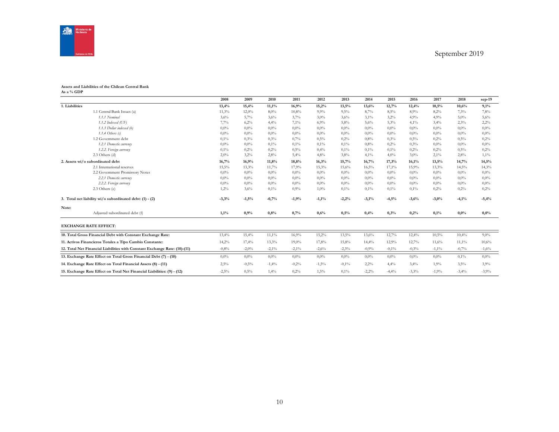

#### **Assets and Liabilities of the Chilean Central Bank As a % GDP**

|                                                                            | 2008    | 2009     | 2010     | 2011     | 2012     | 2013    | 2014    | 2015    | 2016    | 2017     | 2018     | $sep-19$ |
|----------------------------------------------------------------------------|---------|----------|----------|----------|----------|---------|---------|---------|---------|----------|----------|----------|
| 1. Liabilities                                                             | 13,4%   | 15,4%    | 11,1%    | 16,9%    | 15,2%    | 13,5%   | 13,6%   | 12,7%   | 12,4%   | 10,5%    | 10,6%    | 9,1%     |
| 1.1 Central Bank Issues (a)                                                | 11,3%   | 12,0%    | 8,0%     | 10,8%    | 9.9%     | 9,5%    | 8,7%    | 8,5%    | 8,9%    | 8,2%     | 7,3%     | 7,8%     |
| 1.1.1 Nominal                                                              | 3,6%    | 5,7%     | 3,6%     | 3,7%     | 3,0%     | 3,6%    | 3,1%    | 3,2%    | 4,9%    | 4,9%     | 5,0%     | 5,6%     |
| $1.1.2$ Indexed (UF)                                                       | 7,7%    | 6,2%     | 4,4%     | 7,1%     | 6,9%     | 5,8%    | 5,6%    | 5,3%    | 4,1%    | 3,4%     | 2,3%     | 2,2%     |
| 1.1.3 Dollar indexed (b)                                                   | 0,0%    | $0.0\%$  | 0,0%     | $0.0\%$  | 0,0%     | $0.0\%$ | $0.0\%$ | $0.0\%$ | 0,0%    | 0,0%     | $0.0\%$  | $0.0\%$  |
| $1.1.4$ Others (c)                                                         | 0,0%    | 0,0%     | 0,0%     | $0.0\%$  | $0.0\%$  | $0.0\%$ | $0.0\%$ | $0.0\%$ | 0.0%    | 0.0%     | $0.0\%$  | $0.0\%$  |
| 1.2 Government debt                                                        | 0,1%    | 0,3%     | 0,3%     | 0,7%     | 0,5%     | 0,2%    | 0.8%    | 0.3%    | 0,5%    | 0,2%     | 0,5%     | 0,2%     |
| 1.2.1 Domestic currency                                                    | 0,0%    | $0.0\%$  | 0,1%     | 0,1%     | 0,1%     | 0,1%    | 0.8%    | 0,2%    | 0,3%    | 0,0%     | $0.0\%$  | 0,0%     |
| 1.2.2. Foreign currency                                                    | 0,1%    | 0,2%     | 0,2%     | 0,5%     | 0,4%     | $0.1\%$ | 0,1%    | 0,1%    | 0,2%    | 0,2%     | 0,5%     | 0,2%     |
| $2.3$ Others $(d)$                                                         | 2,0%    | 3,2%     | 2,8%     | 5,4%     | 4.8%     | 3,8%    | 4,1%    | 4,0%    | 3,0%    | 2,1%     | 2,8%     | 1,1%     |
| 2. Assets wi/o subordinated debt                                           | 16,7%   | 16,9%    | 11,8%    | 18,8%    | 16,3%    | 15,7%   | 16,7%   | 17,3%   | 16,1%   | 13,5%    | 14,7%    | 14,5%    |
| 2.1 International reserves                                                 | 15,5%   | 13,3%    | 11,7%    | 17,9%    | 15,3%    | 15,6%   | 16,5%   | 17,1%   | 15,9%   | 13.3%    | 14,5%    | 14,3%    |
| 2.2 Government Promissory Notes                                            | $0.0\%$ | $0.0\%$  | $0.0\%$  | $0.0\%$  | $0.0\%$  | $0.0\%$ | $0.0\%$ | $0.0\%$ | 0.0%    | 0.0%     | $0.0\%$  | $0.0\%$  |
| 2.2.1 Domestic currency                                                    | 0,0%    | $0.0\%$  | 0,0%     | $0.0\%$  | 0,0%     | $0.0\%$ | $0.0\%$ | $0.0\%$ | 0,0%    | 0,0%     | $0.0\%$  | $0,0\%$  |
| 2.2.2. Foreign currency                                                    | 0,0%    | $0,0\%$  | 0,0%     | $0.0\%$  | $0.0\%$  | $0.0\%$ | $0.0\%$ | $0.0\%$ | 0.0%    | 0.0%     | $0.0\%$  | 0.0%     |
| 2.3 Others (e)                                                             | 1,2%    | 3,6%     | 0,1%     | 0.9%     | 1,0%     | $0.1\%$ | 0,1%    | 0,1%    | 0,1%    | 0,2%     | 0,2%     | 0,2%     |
| 3. Total net liability wi/o subordinated debt: (1) - (2)                   | $-3,3%$ | $-1,5%$  | $-0,7%$  | $-1,9%$  | $-1,1%$  | $-2,2%$ | $-3,1%$ | $-4,5%$ | $-3,6%$ | $-3,0%$  | $-4,1%$  | $-5,4%$  |
| Note:                                                                      |         |          |          |          |          |         |         |         |         |          |          |          |
| Adjusted subordinated debt (f)                                             | 1,1%    | 0,9%     | 0,8%     | 0,7%     | 0,6%     | 0,5%    | 0,4%    | 0,3%    | 0,2%    | 0,1%     | 0,0%     | 0,0%     |
| <b>EXCHANGE RATE EFFECT:</b>                                               |         |          |          |          |          |         |         |         |         |          |          |          |
| 10. Total Gross Financial Debt with Constant Exchange Rate:                | 13,4%   | 15,4%    | $11,1\%$ | 16,9%    | 15,2%    | 13,5%   | 13,6%   | 12,7%   | 12,4%   | 10,5%    | 10,4%    | 9,0%     |
| 11. Activos Financieros Totales a Tipo Cambio Constante:                   | 14,2%   | 17,4%    | 13.3%    | 19,0%    | 17,8%    | 15,8%   | 14,4%   | 12,9%   | 12,7%   | 11,6%    | $11,1\%$ | 10,6%    |
| 12. Total Net Financial Liabilities with Constant Exchange Rate: (10)-(11) | $-0.8%$ | $-2,0\%$ | $-2,1\%$ | $-2,1\%$ | $-2,6%$  | $-2,3%$ | $-0.9%$ | $-0,1%$ | $-0,3%$ | $-1,1\%$ | $-0,7%$  | $-1,6\%$ |
| 13. Exchange Rate Effect on Total Gross Financial Debt (7) - (10)          | 0,0%    | $0,0\%$  | $0,0\%$  | $0.0\%$  | 0,0%     | $0.0\%$ | $0.0\%$ | $0.0\%$ | 0,0%    | 0,0%     | 0,1%     | 0,0%     |
| 14. Exchange Rate Effect on Total Financial Assets (8) - (11)              | 2,5%    | $-0,5%$  | $-1,4%$  | $-0,2%$  | $-1,5\%$ | $-0.1%$ | 2,2%    | 4,4%    | 3,4%    | 1,9%     | 3,5%     | 3.9%     |
| 15. Exchange Rate Effect on Total Net Financial Liabilities: (9) - (12)    | $-2,5%$ | 0,5%     | 1,4%     | 0,2%     | 1,5%     | 0,1%    | $-2,2%$ | $-4,4%$ | $-3,3%$ | $-1,9%$  | $-3,4%$  | $-3,9%$  |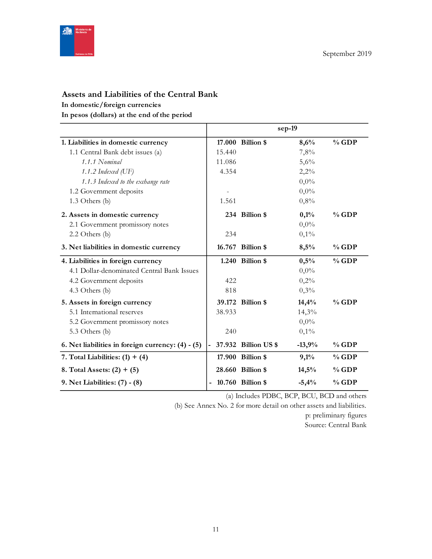

# **Assets and Liabilities of the Central Bank**

# **In domestic/foreign currencies**

**In pesos (dollars) at the end of the period**

|                                                   |        |                      | sep-19   |         |
|---------------------------------------------------|--------|----------------------|----------|---------|
| 1. Liabilities in domestic currency               |        | 17.000 Billion \$    | 8,6%     | $%$ GDP |
| 1.1 Central Bank debt issues (a)                  | 15.440 |                      | 7,8%     |         |
| 1.1.1 Nominal                                     | 11.086 |                      | 5,6%     |         |
| 1.1.2 Indexed $(\mathrm{UF})$                     | 4.354  |                      | 2,2%     |         |
| 1.1.3 Indexed to the exchange rate                |        |                      | $0,0\%$  |         |
| 1.2 Government deposits                           |        |                      | $0,0\%$  |         |
| 1.3 Others (b)                                    | 1.561  |                      | 0,8%     |         |
| 2. Assets in domestic currency                    |        | 234 Billion \$       | 0,1%     | $%$ GDP |
| 2.1 Government promissory notes                   |        |                      | $0,0\%$  |         |
| $2.2$ Others (b)                                  | 234    |                      | 0,1%     |         |
| 3. Net liabilities in domestic currency           |        | 16.767 Billion \$    | 8,5%     | $%$ GDP |
| 4. Liabilities in foreign currency                |        | 1.240 Billion \$     | 0,5%     | $%$ GDP |
| 4.1 Dollar-denominated Central Bank Issues        |        |                      | $0,0\%$  |         |
| 4.2 Government deposits                           | 422    |                      | 0,2%     |         |
| 4.3 Others (b)                                    | 818    |                      | 0,3%     |         |
| 5. Assets in foreign currency                     |        | 39.172 Billion \$    | 14,4%    | $%$ GDP |
| 5.1 International reserves                        | 38.933 |                      | 14,3%    |         |
| 5.2 Government promissory notes                   |        |                      | $0,0\%$  |         |
| 5.3 Others (b)                                    | 240    |                      | 0,1%     |         |
| 6. Net liabilities in foreign currency: (4) - (5) |        | 37.932 Billion US \$ | $-13,9%$ | $%$ GDP |
| 7. Total Liabilities: $(1) + (4)$                 |        | 17.900 Billion \$    | 9,1%     | $%$ GDP |
| 8. Total Assets: $(2) + (5)$                      |        | 28.660 Billion \$    | 14,5%    | $%$ GDP |
| 9. Net Liabilities: (7) - (8)                     |        | 10.760 Billion \$    | $-5,4%$  | $%$ GDP |

(a) Includes PDBC, BCP, BCU, BCD and others

(b) See Annex No. 2 for more detail on other assets and liabilities. p: preliminary figures

Source: Central Bank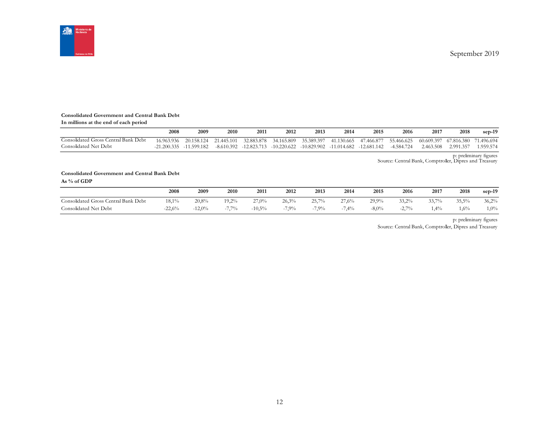

#### **Consolidated Government and Central Bank Debt**

| In millions at the end of each period |      |                             |      |      |                                                                   |      |      |                                                                                                 |      |           |            |            |
|---------------------------------------|------|-----------------------------|------|------|-------------------------------------------------------------------|------|------|-------------------------------------------------------------------------------------------------|------|-----------|------------|------------|
|                                       | 2008 | 2009                        | 2010 | 2011 | 2012                                                              | 2013 | 2014 | 2015                                                                                            | 2016 | 2017      | 2018       | $sep-19$   |
| Consolidated Gross Central Bank Debt  |      |                             |      |      | 16.963.936 20.158.124 21.445.101 32.883.878 34.165.809 35.389.397 |      |      | 41.130.665 47.466.877 55.466.625 60.609.397                                                     |      |           | 67.816.380 | 71.496.694 |
| Consolidated Net Debt                 |      | $-21.200.335$ $-11.599.182$ |      |      |                                                                   |      |      | $-8.610.392$ $-12.823.713$ $-10.220.622$ $-10.829.902$ $-11.014.682$ $-12.681.142$ $-4.584.724$ |      | 2.463.508 | 2.991.357  | 1.959.574  |

p: preliminary figures Source: Central Bank, Comptroller, Dipres and Treasury

#### **Consolidated Government and Central Bank Debt As % of GDP**

|                                      | 2008     | 2009     | 2010     | 2011     | 2012  | 2013    | 2014  | 2015     | 2016          | 2017  | 2018    | $sep-19$ |
|--------------------------------------|----------|----------|----------|----------|-------|---------|-------|----------|---------------|-------|---------|----------|
| Consolidated Gross Central Bank Debt | 18,1%    | 20,8%    | $19.2\%$ | 27,0%    | 26.3% | 25.7%   | 27,6% | 29.9%    | 33.2%         | 33.7% | 35,5%   | 36,2%    |
| Consolidated Net Debt                | $-22.6%$ | $-12.0%$ | 7.70/    | $-10,5%$ | 7.9%  | $7.9\%$ | 7,4%  | $-8,0\%$ | 2.70%<br>-4., | 1,4%  | $1,6\%$ | $1,0\%$  |

p: preliminary figures

Source: Central Bank, Comptroller, Dipres and Treasury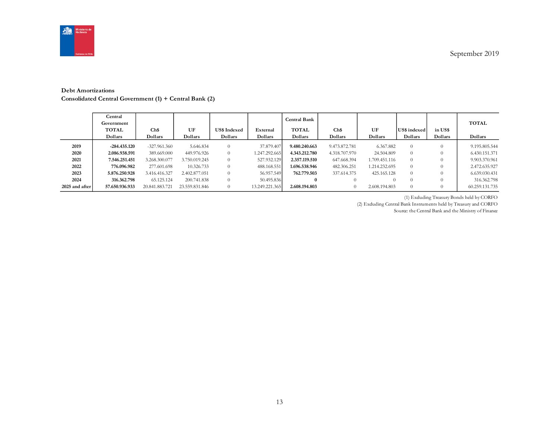

#### **Debt Amortizations**

**Consolidated Central Government (1) + Central Bank (2)**

|                | Central<br>Government<br><b>TOTAL</b><br>Dollars | Ch\$<br>Dollars | UF<br>Dollars  | <b>US\$ Indexed</b><br>Dollars | External<br>Dollars | Central Bank<br><b>TOTAL</b><br>Dollars | Ch\$<br>Dollars | UF<br>Dollars | US\$ indexed<br>Dollars | in US\$<br>Dollars | <b>TOTAL</b><br>Dollars |
|----------------|--------------------------------------------------|-----------------|----------------|--------------------------------|---------------------|-----------------------------------------|-----------------|---------------|-------------------------|--------------------|-------------------------|
| 2019           | $-284.435.120$                                   | $-327.961.360$  | 5.646.834      | $\Omega$                       | 37.879.407          | 9.480.240.663                           | 9.473.872.781   | 6.367.882     | $\overline{0}$          |                    | 9.195.805.544           |
| 2020           | 2.086.938.591                                    | 389,669,000     | 449.976.926    | $\Omega$                       | 1.247.292.665       | 4.343.212.780                           | 4.318.707.970   | 24.504.809    | $\theta$                |                    | 6.430.151.371           |
| 2021           | 7.546.251.451                                    | 3.268.300.077   | 3.750.019.245  | $\Omega$                       | 527.932.129         | 2.357.119.510                           | 647.668.394     | 1.709.451.116 | $\theta$                |                    | 9.903.370.961           |
| 2022           | 776.096.982                                      | 277.601.698     | 10.326.733     | $\Omega$                       | 488.168.551         | 1.696.538.946                           | 482.306.251     | 1.214.232.695 | $\Omega$                |                    | 2.472.635.927           |
| 2023           | 5.876.250.928                                    | 3.416.416.327   | 2.402.877.051  | $\Omega$                       | 56.957.549          | 762.779.503                             | 337.614.375     | 425.165.128   | $\Omega$                |                    | 6.639.030.431           |
| 2024           | 316.362.798                                      | 65.125.124      | 200.741.838    | $\Omega$                       | 50.495.836          | $\bf{0}$                                | $\Omega$        |               |                         |                    | 316.362.798             |
| 2025 and after | 57.650.936.933                                   | 20.841.883.721  | 23.559.831.846 | $\Omega$                       | 13.249.221.365      | 2.608.194.803                           | $\overline{0}$  | 2.608.194.803 | $\Omega$                |                    | 60.259.131.735          |

(1) Excluding Treasury Bonds held by CORFO

(2) Excluding Central Bank Instruments held by Treasury and CORFO

Source: the Central Bank and the Ministry of Finance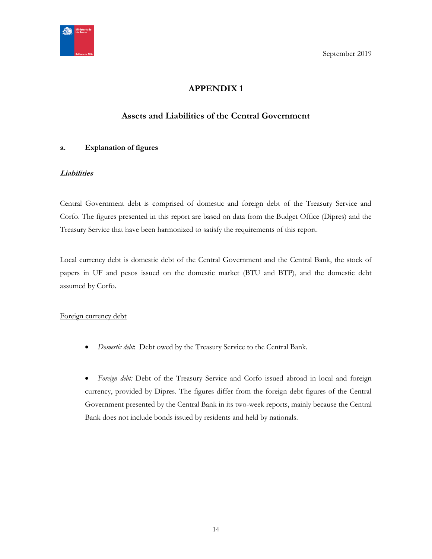<span id="page-13-0"></span>

# **APPENDIX 1**

# **Assets and Liabilities of the Central Government**

## <span id="page-13-1"></span>**a. Explanation of figures**

## **Liabilities**

Central Government debt is comprised of domestic and foreign debt of the Treasury Service and Corfo. The figures presented in this report are based on data from the Budget Office (Dipres) and the Treasury Service that have been harmonized to satisfy the requirements of this report.

Local currency debt is domestic debt of the Central Government and the Central Bank, the stock of papers in UF and pesos issued on the domestic market (BTU and BTP), and the domestic debt assumed by Corfo.

## Foreign currency debt

*Domestic debt*: Debt owed by the Treasury Service to the Central Bank.

 *Foreign debt:* Debt of the Treasury Service and Corfo issued abroad in local and foreign currency, provided by Dipres. The figures differ from the foreign debt figures of the Central Government presented by the Central Bank in its two-week reports, mainly because the Central Bank does not include bonds issued by residents and held by nationals.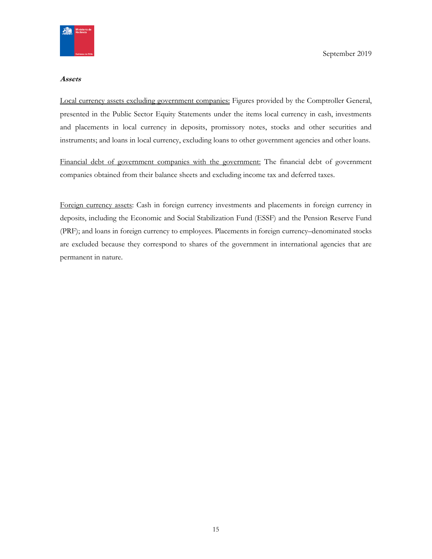

#### **Assets**

Local currency assets excluding government companies: Figures provided by the Comptroller General, presented in the Public Sector Equity Statements under the items local currency in cash, investments and placements in local currency in deposits, promissory notes, stocks and other securities and instruments; and loans in local currency, excluding loans to other government agencies and other loans.

Financial debt of government companies with the government: The financial debt of government companies obtained from their balance sheets and excluding income tax and deferred taxes.

Foreign currency assets: Cash in foreign currency investments and placements in foreign currency in deposits, including the Economic and Social Stabilization Fund (ESSF) and the Pension Reserve Fund (PRF); and loans in foreign currency to employees. Placements in foreign currency–denominated stocks are excluded because they correspond to shares of the government in international agencies that are permanent in nature.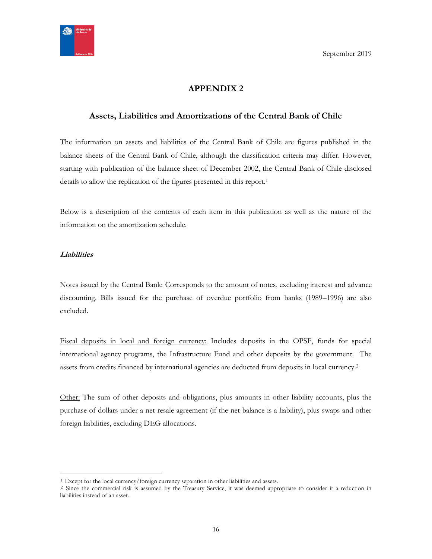

# **APPENDIX 2**

## <span id="page-15-1"></span><span id="page-15-0"></span>**Assets, Liabilities and Amortizations of the Central Bank of Chile**

The information on assets and liabilities of the Central Bank of Chile are figures published in the balance sheets of the Central Bank of Chile, although the classification criteria may differ. However, starting with publication of the balance sheet of December 2002, the Central Bank of Chile disclosed details to allow the replication of the figures presented in this report.<sup>1</sup>

Below is a description of the contents of each item in this publication as well as the nature of the information on the amortization schedule.

#### **Liabilities**

 $\overline{a}$ 

Notes issued by the Central Bank: Corresponds to the amount of notes, excluding interest and advance discounting. Bills issued for the purchase of overdue portfolio from banks (1989–1996) are also excluded.

Fiscal deposits in local and foreign currency: Includes deposits in the OPSF, funds for special international agency programs, the Infrastructure Fund and other deposits by the government. The assets from credits financed by international agencies are deducted from deposits in local currency.<sup>2</sup>

Other: The sum of other deposits and obligations, plus amounts in other liability accounts, plus the purchase of dollars under a net resale agreement (if the net balance is a liability), plus swaps and other foreign liabilities, excluding DEG allocations.

<sup>&</sup>lt;sup>1</sup>. Except for the local currency/foreign currency separation in other liabilities and assets.

<sup>&</sup>lt;sup>2</sup> Since the commercial risk is assumed by the Treasury Service, it was deemed appropriate to consider it a reduction in liabilities instead of an asset.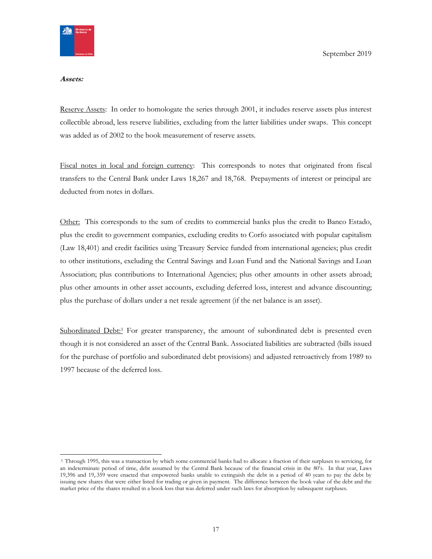

#### **Assets:**

Reserve Assets: In order to homologate the series through 2001, it includes reserve assets plus interest collectible abroad, less reserve liabilities, excluding from the latter liabilities under swaps. This concept was added as of 2002 to the book measurement of reserve assets.

Fiscal notes in local and foreign currency: This corresponds to notes that originated from fiscal transfers to the Central Bank under Laws 18,267 and 18,768. Prepayments of interest or principal are deducted from notes in dollars.

Other: This corresponds to the sum of credits to commercial banks plus the credit to Banco Estado, plus the credit to government companies, excluding credits to Corfo associated with popular capitalism (Law 18,401) and credit facilities using Treasury Service funded from international agencies; plus credit to other institutions, excluding the Central Savings and Loan Fund and the National Savings and Loan Association; plus contributions to International Agencies; plus other amounts in other assets abroad; plus other amounts in other asset accounts, excluding deferred loss, interest and advance discounting; plus the purchase of dollars under a net resale agreement (if the net balance is an asset).

Subordinated Debt:<sup>3</sup> For greater transparency, the amount of subordinated debt is presented even though it is not considered an asset of the Central Bank. Associated liabilities are subtracted (bills issued for the purchase of portfolio and subordinated debt provisions) and adjusted retroactively from 1989 to 1997 because of the deferred loss.

<sup>3</sup> Through 1995, this was a transaction by which some commercial banks had to allocate a fraction of their surpluses to servicing, for an indeterminate period of time, debt assumed by the Central Bank because of the financial crisis in the 80's. In that year, Laws 19,396 and 19,.359 were enacted that empowered banks unable to extinguish the debt in a period of 40 years to pay the debt by issuing new shares that were either listed for trading or given in payment. The difference between the book value of the debt and the market price of the shares resulted in a book loss that was deferred under such laws for absorption by subsequent surpluses.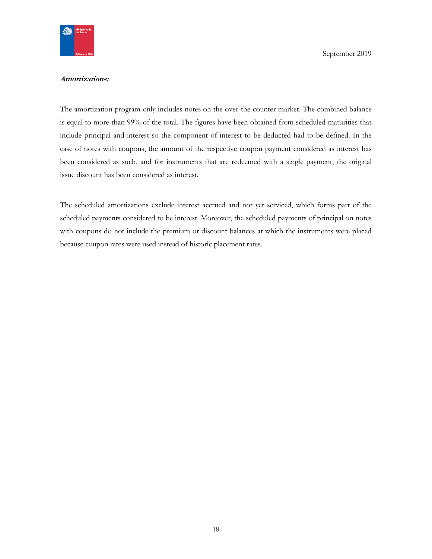

#### **Amortizations:**

The amortization program only includes notes on the over-the-counter market. The combined balance is equal to more than 99% of the total. The figures have been obtained from scheduled maturities that include principal and interest so the component of interest to be deducted had to be defined. In the case of notes with coupons, the amount of the respective coupon payment considered as interest has been considered as such, and for instruments that are redeemed with a single payment, the original issue discount has been considered as interest.

The scheduled amortizations exclude interest accrued and not yet serviced, which forms part of the scheduled payments considered to be interest. Moreover, the scheduled payments of principal on notes with coupons do not include the premium or discount balances at which the instruments were placed because coupon rates were used instead of historic placement rates.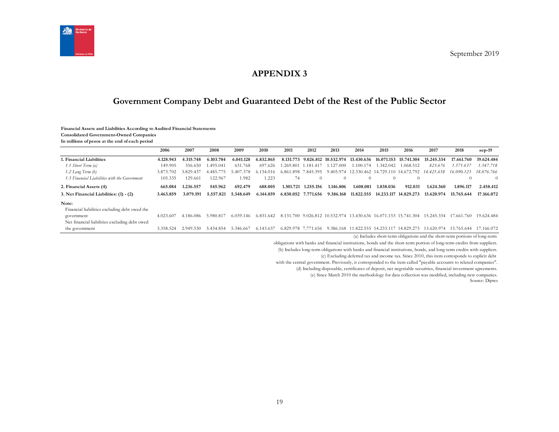

## **APPENDIX 3**

# **Government Company Debt and Guaranteed Debt of the Rest of the Public Sector**

#### **Financial Assets and Liabilities According to Audited Financial Statements**

**Consolidated Government-Owned Companies**

**In millions of pesos at the end of each period**

<span id="page-18-1"></span><span id="page-18-0"></span>

|                                               | 2006      | 2007      | 2008      | 2009      | 2010          | 2011                | 2012                | 2013      | 2014                                                        | 2015             | 2016                                       | 2017       | 2018       | $sep-19$   |
|-----------------------------------------------|-----------|-----------|-----------|-----------|---------------|---------------------|---------------------|-----------|-------------------------------------------------------------|------------------|--------------------------------------------|------------|------------|------------|
| . Financial Liabilities                       | 4.128.943 | 4.315.748 | 6.103.784 | 6.041.128 | 6.832.865     |                     |                     |           | 8.131.773 9.026.812 10.532.974 13.430.636                   |                  | 16.071.153 15.741.304                      | 15.245.334 | 17.661.760 | 19.624.484 |
| 1.1 Short Term (a)                            | 149.905   | 356.650   | 1.495.041 | 631.768   | 697.626       |                     | 1.269.801 1.181.417 | 1.127.000 | 1.100.174                                                   | 1.342.042        | 1.068.512                                  | 823.676    | 1.571.637  | 1.547.718  |
| 1.2 Long Term (b)                             | 3.873.702 | 3.829.437 | 4.485.    | 407       | 6 1 3 4 0 1 6 |                     | 6.861.898 7.845.395 |           |                                                             |                  | 9.405.974 12.330.462 14.729.110 14.672.792 | 14.421.658 | 16.090.123 | 18.076.766 |
| 1.3 Financial Liabilities with the Government | 105.335   | 129.661   | 122.967   | 1.982     | 1.223         | 74                  | $\Omega$            | $\theta$  | $\Omega$                                                    | $\left( \right)$ | $\Omega$                                   |            |            | $\Omega$   |
| 2. Financial Assets (4)                       | 665.084   | 1.236.557 | 545.962   | 692.479   | 688.005       | 1.301.721           | 1.255.156           | 1.146.806 | 1.608.081                                                   | 1.838.036        | 912.031                                    | 1.624.360  | 1.896.117  | 2.458.412  |
| 3. Net Financial Liabilities: (1) - (2)       | 3.463.859 | 3.079.191 | 5.557.821 | 5.348.649 | 6.144.859     | 6.830.052 7.771.656 |                     | 9.386.168 | 11.822.555                                                  |                  | 14.233.117 14.829.273                      | 13.620.974 | 15.765.644 | 17.166.072 |
| Note:                                         |           |           |           |           |               |                     |                     |           |                                                             |                  |                                            |            |            |            |
| Financial liabilities excluding debt owed the |           |           |           |           |               |                     |                     |           |                                                             |                  |                                            |            |            |            |
| government                                    | 4.023.607 | 4.186.086 | 5.980.817 | 6.039.146 | 6.831.642     |                     |                     |           | 8.131.700 9.026.812 10.532.974 13.430.636 16.071.153 15.741 |                  | .304                                       | 15.245.334 | 17.661.760 | 19.624.484 |
| Net financial liabilities excluding debt owed |           |           |           |           |               |                     |                     |           |                                                             |                  |                                            |            |            |            |
| the government                                | 3.358.524 | 2.949.530 | 5.434.854 | 5.346.667 | 6.143.637     | 6.829.978 7.77      | '1.656              |           | 9.386.168 11.822.555 14.233.117 14.829.273                  |                  |                                            | 13.620.974 | 15.765.644 | 17.166.072 |

(a) Includes short-term obligations and the short-term portions of long-term

obligations with banks and financial institutions, bonds and the short-term portion of long-term credits from suppliers.

(b) Includes long-term obligations with banks and financial institutions, bonds, and long-term credits with suppliers.

(c) Excluding deferred tax and income tax. Since 2010, this item corresponds to explicit debt

with the central government. Previously, it corresponded to the item called "payable accounts to related companies".

(d) Including disposable, certificates of deposit, net negotiable securities, financial investment agreements.

(e) Since March 2010 the methodology for data collection was modified, including new companies.

Source: Dipres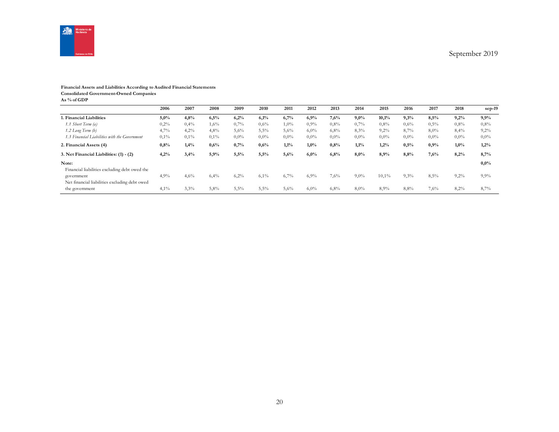

#### **Financial Assets and Liabilities According to Audited Financial Statements Consolidated Government-Owned Companies**

**As % of GDP**

|                                                             | 2006 | 2007 | 2008    | 2009    | 2010    | 2011 | 2012    | 2013    | 2014    | 2015    | 2016    | 2017    | 2018    | $sep-19$ |
|-------------------------------------------------------------|------|------|---------|---------|---------|------|---------|---------|---------|---------|---------|---------|---------|----------|
| 1. Financial Liabilities                                    | 5,0% | 4,8% | 6,5%    | 6,2%    | 6,1%    | 6,7% | 6,9%    | 7,6%    | 9,0%    | 10,1%   | 9,3%    | 8,5%    | 9,2%    | 9,9%     |
| 1.1 Short Term (a)                                          | 0,2% | 0,4% | $1,6\%$ | 0,7%    | $0.6\%$ | 1,0% | $0.9\%$ | $0.8\%$ | 0,7%    | $0.8\%$ | 0,6%    | $0.5\%$ | 0.8%    | 0,8%     |
| $1.2$ Long Term $(b)$                                       | 4,7% | 4,2% | 4,8%    | 5,6%    | 5,5%    | 5,6% | $6,0\%$ | 6,8%    | 8,3%    | $9,2\%$ | 8,7%    | 8,0%    | 8,4%    | 9,2%     |
| 1.3 Financial Liabilities with the Government               | 0,1% | 0,1% | $0.1\%$ | $0,0\%$ | $0,0\%$ | 0,0% | $0.0\%$ | $0,0\%$ | $0,0\%$ | $0.0\%$ | $0.0\%$ | $0.0\%$ | $0.0\%$ | $0,0\%$  |
| 2. Financial Assets (4)                                     | 0.8% | 1,4% | 0,6%    | 0,7%    | 0,6%    | 1,1% | $1,0\%$ | 0,8%    | $1,1\%$ | 1,2%    | 0,5%    | 0,9%    | 1,0%    | 1,2%     |
| 3. Net Financial Liabilities: (1) - (2)                     | 4,2% | 3,4% | 5,9%    | 5,5%    | 5,5%    | 5,6% | 6,0%    | 6,8%    | 8,0%    | 8,9%    | 8,8%    | 7,6%    | 8,2%    | 8,7%     |
| Note:<br>Financial liabilities excluding debt owed the      |      |      |         |         |         |      |         |         |         |         |         |         |         | 0,0%     |
| government<br>Net financial liabilities excluding debt owed | 4,9% | 4,6% | 6,4%    | 6,2%    | 6,1%    | 6,7% | 6,9%    | 7,6%    | $9,0\%$ | 10,1%   | 9,3%    | 8,5%    | 9,2%    | 9,9%     |
| the government                                              | 4,1% | 3,3% | 5,8%    | 5,5%    | 5,5%    | 5,6% | 6,0%    | 6,8%    | 8,0%    | 8,9%    | 8,8%    | 7,6%    | 8,2%    | 8,7%     |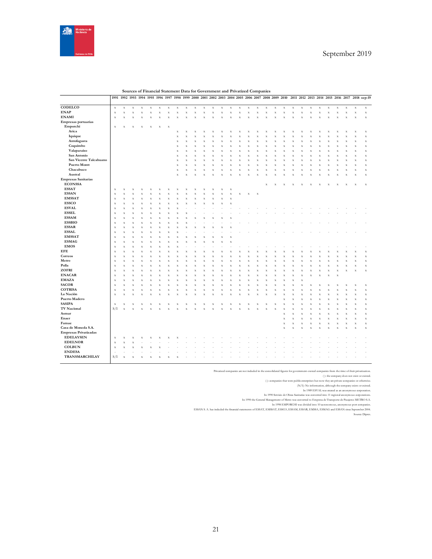

|                              |                           |             |                           |             | 1991 1992 1993 1994 1995 1996 1997 1998 1999 2000 2001 2002 2003 2004 2005 2006 2007 2008 2009 2010 |              |                        |                         |                    |             |                           |                           |                         |                         |                    |                    |                           |             |                         |                    |                    |                           |                    |                           |                         |                         |                    |             | 2011 2012 2013 2014 2015 2016 2017 2018 sep-19 |
|------------------------------|---------------------------|-------------|---------------------------|-------------|-----------------------------------------------------------------------------------------------------|--------------|------------------------|-------------------------|--------------------|-------------|---------------------------|---------------------------|-------------------------|-------------------------|--------------------|--------------------|---------------------------|-------------|-------------------------|--------------------|--------------------|---------------------------|--------------------|---------------------------|-------------------------|-------------------------|--------------------|-------------|------------------------------------------------|
|                              |                           |             |                           |             |                                                                                                     |              |                        |                         |                    |             |                           |                           |                         |                         |                    |                    |                           |             |                         |                    |                    |                           |                    |                           |                         |                         |                    |             |                                                |
| CODELCO                      | $\mathbf x$               | $\mathbf x$ | $\bar{x}$                 | $\mathbf x$ | $\mathbf X$                                                                                         | $\mathbf x$  | $\mathbf x$            | $\mathbf x$             | $\bar{x}$          | $\mathbf x$ | $\bar{x}$                 | $\mathbf X$               | $\mathbf x$             | $\mathbf X$             | $\mathbf X$        | $\mathbf X$        | $\bar{x}$                 | $\mathbf x$ | $\mathbf x$             | $\mathbf x$        | $\mathbf X$        | $\mathbf x$               | $\mathbf x$        | $\mathbf X$               | $\bar{X}$               | $\mathbf x$             | $\mathbf x$        | $\mathbf x$ | $\mathbf x$                                    |
| <b>ENAP</b>                  | $\mathbf x$               | $\mathbf x$ | $\mathbf x$               | $\mathbf X$ | $\mathbf X$                                                                                         | $\mathbf X$  | $\mathbf x$            | $\mathbf x$             | $\bar{X}$          | $\mathbf x$ | $\mathbf x$               | $\mathbf X$               | $\bar{x}$               | $\mathbf X$             | $\mathbf x$        | $\mathbf X$        | $\bar{x}$                 | $\mathbf x$ | $\mathbf x$             | $\bar{X}$          | $\mathbf X$        | $\mathbf X$               | $\mathbf x$        | $\mathbf x$               | $\bar{x}$               | $\mathbf x$             | $\mathbf x$        | $\mathbf x$ | $\mathbf x$                                    |
| <b>ENAMI</b>                 | $\mathbf x$               | $\mathbf x$ | $\bar{\mathbf{x}}$        | $\bf x$     | X                                                                                                   | $\mathbf{x}$ | $\bar{x}$              | $\overline{\mathbf{x}}$ | X                  | $\bf x$     | x                         | x                         | $\overline{\mathbf{x}}$ | $\bar{x}$               | $\bar{x}$          | $\bar{\mathbf{x}}$ | X                         | $\bf x$     | $\bar{\mathbf{x}}$      | $\bar{x}$          | x                  | $\mathbf x$               | $\bar{x}$          | $\mathbf X$               | X                       | $\overline{\mathbf{x}}$ | $\bar{x}$          | $\bf x$     | $\mathbf x$                                    |
| Empresas portuarias          |                           |             |                           |             |                                                                                                     |              |                        |                         |                    |             |                           |                           |                         |                         |                    |                    |                           |             |                         |                    |                    |                           |                    |                           |                         |                         |                    |             |                                                |
| Emporchi                     | $\mathbf x$               | X           | $\bar{X}$                 | X           | $\bf x$                                                                                             | $\mathbf x$  | $\mathbf x$            |                         |                    |             |                           |                           |                         |                         |                    |                    |                           |             |                         |                    |                    |                           |                    |                           |                         |                         |                    |             |                                                |
| Arica                        |                           |             |                           |             |                                                                                                     |              |                        | $\mathbf x$             | X                  | $\bf x$     | X                         | $\boldsymbol{\mathrm{x}}$ | X                       | X                       | X                  | $\mathbf x$        | X                         | $\bf x$     | X                       | X                  | X                  | $\boldsymbol{\mathrm{x}}$ | $\mathbf x$        | $\boldsymbol{\mathrm{x}}$ | Σ                       | $\bf x$                 | X                  | $\mathbf x$ | $\mathbf X$                                    |
| Iquique                      |                           |             |                           |             |                                                                                                     |              |                        | $\mathbf x$             | $\bar{x}$          |             | X                         | X                         | X                       | X                       | $\bar{X}$          | $\bar{X}$          | X                         |             | X                       | X                  | X                  | $\bar{x}$                 | $\bar{X}$          | $\bar{X}$                 | X                       |                         | X                  | $\bar{X}$   | $\mathbf X$                                    |
| Antofagasta                  |                           |             |                           |             |                                                                                                     |              |                        | $\mathbf X$             | $\bar{x}$          | $\bf x$     | $\bar{x}$                 | $\bar{X}$                 | $\bar{\mathbf{x}}$      | $\bar{x}$               | $\bar{x}$          | $\mathbf X$        | $\bar{x}$                 | $\bf x$     | $\bar{x}$               | $\bar{X}$          | $\bar{\mathbf{x}}$ | $\bf x$                   | $\bar{x}$          | $\mathbf X$               | $\bar{x}$               | X                       | $\bar{x}$          | $\mathbf x$ | $\mathbf X$                                    |
| Coquimbo                     |                           |             |                           |             |                                                                                                     |              |                        | $\mathbf x$             | X                  | $\bf x$     | $\boldsymbol{\mathrm{x}}$ | X                         | $\bf{X}$                | X                       | $\bf{X}$           | $\mathbf x$        | X                         | $\bf x$     | $\overline{\mathbf{x}}$ | $\bf x$            | X                  | X                         | $\bf{X}$           | $\mathbf x$               | X                       | X                       | $\mathbf X$        | $\mathbf x$ | $\mathbf X$                                    |
| Valaparaíso                  |                           |             |                           |             |                                                                                                     |              |                        | $\mathbf X$             | $\bar{x}$          |             | X                         | $\bar{x}$                 | $\bf{y}$                | $\bar{x}$               | $\bar{\mathbf{x}}$ | $\bar{\mathbf{x}}$ | $\bar{x}$                 |             | x                       | $\bar{x}$          | $\bar{\mathbf{x}}$ | $\bar{x}$                 | $\bar{\mathbf{x}}$ | $\bar{\mathbf{x}}$        | $\overline{\mathbf{y}}$ | x                       | $\bar{x}$          | $\bf x$     | $\mathbf X$                                    |
| San Antonio                  |                           |             |                           |             |                                                                                                     |              |                        | $\mathbf x$             | X                  | X           | x                         | $\bf x$                   | X                       | $\overline{\mathbf{x}}$ | $\bar{x}$          | $\bar{\mathbf{x}}$ | X                         | X           | $\bar{\mathbf{x}}$      | $\bf x$            | X                  | $\mathbf x$               | $\bar{x}$          | $\bar{\mathbf{x}}$        | X                       | X                       | $\bar{x}$          | $\mathbf x$ | $\mathbf x$                                    |
| San Vicente Talcahuano       |                           |             |                           |             |                                                                                                     |              |                        | $\bf x$                 | $\bar{x}$          | $\bf x$     | $\bar{\mathbf{x}}$        | $\bar{X}$                 | $\overline{\mathbf{x}}$ | x                       | $\bar{\mathbf{x}}$ | $\bar{x}$          | $\bar{x}$                 | X           | $\bar{\mathbf{x}}$      | $\bar{x}$          | X                  | $\bar{x}$                 | $\bar{\mathbf{x}}$ | $\bar{x}$                 | X                       | x                       | $\bar{x}$          | $\bf x$     | $\mathbf X$                                    |
| <b>Puerto Montt</b>          |                           |             |                           |             |                                                                                                     |              |                        | $\mathbf x$             | X                  | $\bf x$     | X                         | $\bf x$                   | X                       | X                       | $\bar{X}$          | $\mathbf x$        | X                         | $\bf x$     | X                       | $\bf x$            | X                  | $\mathbf x$               | $\mathbf x$        | $\mathbf x$               | X                       | X                       | X                  | $\mathbf x$ | $\mathbf X$                                    |
| Chacabuco                    |                           |             |                           |             |                                                                                                     |              |                        | $\mathbf x$             | $\bar{\mathbf{x}}$ | $\bf x$     | X                         | $\bar{x}$                 | $\bar{\mathbf{x}}$      | $\bar{\mathbf{x}}$      | $\bf x$            | $\bf x$            | $\bar{x}$                 |             | X                       | $\bar{\mathbf{x}}$ | $\bar{\mathbf{x}}$ | $\bar{x}$                 | $\bar{\mathbf{x}}$ | $\mathbf x$               | $\overline{\mathbf{y}}$ | x                       | $\bar{\mathbf{x}}$ | $\mathbf x$ | $\mathbf X$                                    |
| Austral                      |                           |             |                           |             |                                                                                                     |              |                        | $\mathbf x$             | $\bar{x}$          | $\bf x$     | x                         | $\bar{x}$                 | x                       | $\bar{x}$               | $\bar{x}$          | $\bf x$            | x                         | X           | x                       | X                  | x                  | x                         | $\bar{X}$          | $\bar{X}$                 | X                       | X                       | X                  | $\mathbf x$ | $\mathbf x$                                    |
| <b>Empresas Sanitarias</b>   |                           |             |                           |             |                                                                                                     |              |                        |                         |                    |             |                           |                           |                         |                         |                    |                    |                           |             |                         |                    |                    |                           |                    |                           |                         |                         |                    |             |                                                |
| <b>ECONSSA</b>               |                           |             |                           |             |                                                                                                     |              |                        |                         |                    |             |                           |                           |                         |                         |                    |                    |                           | $\bf x$     | X                       |                    |                    |                           | X                  | X                         |                         |                         |                    | $\bf{X}$    | $\bar{X}$                                      |
| <b>ESSAT</b>                 | $\mathbf x$               | x           | X                         | X           | $\bf{X}$                                                                                            | x            | $\bar{X}$              | $\bf x$                 | X                  |             | X                         | $\bf x$                   | $\bar{X}$               | $\mathbf x$             |                    |                    |                           |             |                         |                    |                    |                           |                    |                           |                         |                         |                    |             |                                                |
| <b>ESSAN</b>                 | $\mathbf x$               | X           | $\boldsymbol{\mathrm{x}}$ | $\mathbf x$ | $\bf x$                                                                                             | $\mathbf x$  | $\mathbf x$            | $\mathbf x$             | X                  | X           | X                         | $\bf x$                   | $\bf x$                 | $\mathbf X$             | $\bf{X}$           | $\mathbf x$        | $\boldsymbol{\mathrm{X}}$ |             |                         |                    |                    |                           |                    |                           |                         |                         |                    |             |                                                |
| <b>EMSSAT</b>                | $\mathbf x$               | $\bar{x}$   | $\bar{\mathbf{x}}$        | $\bar{X}$   | $\bar{\mathbf{x}}$                                                                                  | $\bar{x}$    | $\bf x$                | $\bf x$                 | $\bar{\mathbf{x}}$ | $\bf x$     | $\bar{\mathbf{x}}$        | $\bf{X}$                  | $\bf x$                 | $\bf x$                 |                    |                    |                           |             |                         |                    |                    |                           |                    |                           |                         |                         |                    |             |                                                |
| <b>ESSCO</b>                 | $\bf x$                   | x           | X                         | X           | $\bf{X}$                                                                                            | X            | $\bar{x}$              | $\bf x$                 | X                  | X           | $\bar{\mathbf{x}}$        | $\bar{X}$                 | $\bar{X}$               | $\bf x$                 |                    |                    |                           |             |                         |                    |                    |                           |                    |                           |                         |                         |                    |             |                                                |
| <b>ESVAL</b>                 | $\mathbf X$               | $\bar{x}$   |                           | $\bar{X}$   | $\bar{\mathbf{x}}$                                                                                  | $\bar{x}$    |                        | $\bar{X}$               |                    |             |                           |                           |                         |                         |                    |                    |                           |             |                         |                    |                    |                           |                    |                           |                         |                         |                    |             |                                                |
| <b>ESSEL</b>                 |                           |             | $\bar{\mathbf{x}}$<br>x   | $\bf x$     | X                                                                                                   |              | $\bar{x}$<br>$\bar{x}$ | $\bf x$                 |                    |             |                           |                           |                         |                         |                    |                    |                           |             |                         |                    |                    |                           |                    |                           |                         |                         |                    |             |                                                |
| <b>ESSAM</b>                 | $\mathbf x$               | x           |                           |             |                                                                                                     | x            |                        |                         | x                  |             |                           |                           |                         |                         |                    |                    |                           |             |                         |                    |                    |                           |                    |                           |                         |                         |                    |             |                                                |
| <b>ESSBIO</b>                | $\mathbf x$               | X           | $\bar{\mathbf{x}}$        | X           | $\bar{\mathbf{x}}$                                                                                  | X            | $\bar{x}$              | $\bar{X}$               | X                  |             |                           |                           |                         |                         |                    |                    |                           |             |                         |                    |                    |                           |                    |                           |                         |                         |                    |             |                                                |
| <b>ESSAR</b>                 | $\mathbf x$               | x           | $\bar{\mathbf{x}}$        | $\bf x$     | X                                                                                                   | x            | $\bar{x}$              | $\bf x$                 | x                  |             |                           |                           |                         |                         |                    |                    |                           |             |                         |                    |                    |                           |                    |                           |                         |                         |                    |             |                                                |
| <b>ESSAL</b>                 | $\mathbf x$               | X           | $\bar{x}$                 | $\bf x$     | $\bf{X}$                                                                                            | x            | $\bar{x}$              | $\bf x$                 | X                  |             | x                         | x                         | 3                       |                         |                    |                    |                           |             |                         |                    |                    |                           |                    |                           |                         |                         |                    |             |                                                |
| <b>EMSSAT</b>                | $\mathbf x$               | x           | x                         |             | 3                                                                                                   |              | $\bar{x}$              | X                       |                    |             |                           |                           |                         |                         |                    |                    |                           |             |                         |                    |                    |                           |                    |                           |                         |                         |                    |             |                                                |
| <b>ESMAG</b>                 | $\mathbf x$               | X           | $\bar{\mathbf{x}}$        | $\bf x$     | $\bar{\mathbf{x}}$                                                                                  | X            | $\bar{x}$              | $\bf x$                 | X                  |             | X                         | x                         | X                       |                         |                    |                    |                           |             |                         |                    |                    |                           |                    |                           |                         |                         |                    |             |                                                |
| <b>EMOS</b>                  | $\mathbf x$               | X           | $\bar{X}$                 | $\bf x$     | $\bf{X}$                                                                                            | X            | $\bar{x}$              | $\mathbf x$             | X                  | x           | $\bar{X}$                 | X                         | $\bf{X}$                | x                       |                    |                    |                           |             |                         |                    |                    |                           |                    |                           |                         |                         |                    |             |                                                |
|                              | $\mathbf x$               | x           | X                         | $\bar{x}$   | $\bar{\mathbf{x}}$                                                                                  | $\bar{x}$    | $\bar{x}$              | $\bar{X}$               |                    |             |                           |                           |                         |                         |                    |                    |                           |             |                         |                    |                    |                           |                    |                           |                         |                         |                    |             |                                                |
| EFE                          | $\bf x$                   | x           | $\bar{\mathbf{x}}$        | $\bf x$     | $\bf{X}$                                                                                            | x            | $\bar{x}$              | $\bf x$                 | X                  | X           | X                         | X                         | X                       | x                       | $\bar{\mathbf{x}}$ | $\bf x$            | X                         | X           | $\bar{X}$               | X                  | х                  | x                         | $\bar{X}$          | $\mathbf x$               | X                       | X                       | x                  | $\bf x$     | $\mathbf x$                                    |
| Correos                      | $\mathbf x$               | x           | $\bar{\mathbf{x}}$        | $\bar{X}$   | $\overline{\mathbf{x}}$                                                                             | $\bar{x}$    | $\bar{x}$              | $\bar{X}$               | $\bar{x}$          |             | X                         | X                         | X                       | x                       | $\bar{\mathbf{x}}$ | $\bar{x}$          | X                         | x           | $\bar{x}$               | $\bar{x}$          | X                  | x                         | $\bar{\mathbf{x}}$ | $\bar{x}$                 | X                       | x                       | X                  | $\bar{x}$   | $\mathbf x$                                    |
| Metro                        | $\boldsymbol{\mathrm{x}}$ | x           | X                         | $\bf x$     | X                                                                                                   | X            | $\bar{x}$              | $\overline{\mathbf{x}}$ | X                  | X           | X                         | x                         | X                       | $\overline{\mathbf{x}}$ | $\bar{x}$          | $\bar{\mathbf{x}}$ | X                         | X           | $\bar{X}$               | X                  | X                  | $\bf x$                   | $\bar{x}$          | $\bar{\mathbf{x}}$        | x                       | x                       | x                  | $\mathbf x$ | $\mathbf X$                                    |
| Polla                        | $\mathbf x$               | $\bar{x}$   | $\bar{\mathbf{x}}$        | X           | $\bf{X}$                                                                                            | $\bar{X}$    | $\bar{x}$              | $\mathbf x$             | $\bar{x}$          | $\bf x$     | $\bar{\mathbf{x}}$        | X                         | X                       | $\bar{x}$               | $\bf x$            | $\mathbf X$        | $\bar{\mathbf{x}}$        | $\bf x$     | $\bar{\mathbf{x}}$      | $\bar{x}$          | X                  | X                         | $\bf x$            | $\mathbf X$               | $\overline{\mathbf{X}}$ | X                       | x                  | $\bf x$     | $\mathbf X$                                    |
| ZOFRI                        | $\mathbf x$               | X           | $\bar{\mathbf{x}}$        | $\bar{X}$   | $\bar{\mathbf{x}}$                                                                                  | $\bar{x}$    | $\bar{x}$              | $\bf x$                 | $\bar{x}$          | $\bf x$     | $\bar{x}$                 | X                         | X                       | $\bar{x}$               | $\bar{x}$          | $\bar{X}$          | $\bar{x}$                 | X           | $\bar{x}$               | X                  | X                  | $\bar{x}$                 | $\bar{x}$          | $\bar{X}$                 | X                       | X                       | $\bar{x}$          | $\bar{x}$   | $\mathbf X$                                    |
| <b>ENACAR</b>                | $\bf x$                   | X           | $\bar{x}$                 | $\bf x$     | $\bar{\mathbf{x}}$                                                                                  | $\mathbf x$  | $\bf x$                | $\mathbf x$             | X                  | $\bf x$     | $\bar{x}$                 | $\bf x$                   | $\bf{X}$                | $\bar{x}$               | $\bf{X}$           | $\mathbf x$        | $\bar{x}$                 | $\bf x$     | $\overline{\mathbf{x}}$ | $\bar{x}$          | X                  | X                         | $\bar{X}$          | $\bf x$                   | X                       | $\bf x$                 |                    |             |                                                |
| <b>EMAZA</b>                 | $\mathbf x$               | X           | X                         |             | ž                                                                                                   | X            | $\bar{x}$              | $\bf x$                 | X                  |             | X                         |                           | ž                       | X                       | $\bar{X}$          | $\bar{X}$          | $\bar{x}$                 |             | X                       | X                  | ÿ                  | X                         |                    |                           |                         |                         |                    |             |                                                |
| <b>SACOR</b>                 | $\mathbf x$               | X           | $\bar{\mathbf{x}}$        | $\bf x$     | $\bar{\mathbf{x}}$                                                                                  | $\bar{x}$    | $\bar{x}$              | $\bf x$                 | $\bar{x}$          | X           | $\bar{\mathbf{x}}$        | $\bf x$                   | $\bar{\mathbf{x}}$      | $\bar{x}$               | $\bar{X}$          | $\bar{X}$          | x                         |             | $\bar{\mathbf{x}}$      | X                  | $\bar{\mathbf{x}}$ | X                         | $\bar{X}$          | $\bf x$                   | ۶                       |                         | X                  | $\bf x$     | $\mathbf X$                                    |
| <b>COTRISA</b>               | $\mathbf x$               | X           | X                         | X           | $\bf{X}$                                                                                            | $\mathbf x$  | $\mathbf X$            | $\mathbf x$             | X                  | $\bf x$     | X                         | X                         | $\bf x$                 | $\mathbf x$             | $\bf{X}$           | $\mathbf x$        | X                         | $\bf x$     | $\bar{x}$               | $\bf x$            | X                  | X                         | $\mathbf x$        | $\mathbf x$               | X                       | X                       | X                  | $\mathbf x$ | $\mathbf x$                                    |
| La Nación                    | $\bar{X}$                 | X           | X                         |             |                                                                                                     |              | x                      | $\bf x$                 | X                  |             | X                         |                           |                         |                         | $\bar{\mathbf{x}}$ | $\bar{X}$          | X                         |             | X                       | X                  | X                  | X                         | $\bf x$            | $\bf x$                   | X                       | X                       | X                  | $\bf x$     | $\mathbf X$                                    |
| <b>Puerto Madero</b>         |                           |             |                           |             |                                                                                                     |              |                        |                         |                    |             |                           |                           |                         |                         |                    |                    |                           |             |                         | $\bf x$            | X                  | $\bf x$                   | $\bar{X}$          | $\bf x$                   | X                       | X                       | X                  | $\mathbf x$ | $\mathbf x$                                    |
| <b>SASIPA</b>                | $\mathbf x$               | $\bf x$     | $\bar{\mathbf{x}}$        | $\bf x$     | $\bf{X}$                                                                                            | X            | X                      | $\bf x$                 | X                  |             | X                         | X                         | X                       | X                       | $\bf{y}$           | $\bf x$            | $\bar{x}$                 | X           | $\overline{\mathbf{x}}$ | $\bar{\mathbf{x}}$ | $\bar{\mathbf{x}}$ | $\bf x$                   | $\bf{X}$           | $\mathbf X$               | $\overline{\mathbf{y}}$ | x                       | $\bar{X}$          | $\bf x$     | $\mathbf X$                                    |
| <b>TV Nacional</b>           | S/I                       | $\bf x$     | $\bar{x}$                 | $\bar{X}$   | $\bar{\mathbf{x}}$                                                                                  | $\bf x$      | $\bar{x}$              | $\bf x$                 | X                  | X           | $\bar{x}$                 | $\bar{X}$                 | $\bar{\mathbf{x}}$      | X                       | $\bar{x}$          | $\bar{X}$          | X                         | X           | $\bar{x}$               | $\bar{X}$          | $\bar{\mathbf{x}}$ | $\bf x$                   | $\bar{x}$          | $\bf x$                   | X                       | X                       | $\bar{x}$          | $\mathbf x$ | $\mathbf X$                                    |
| Asmar                        |                           |             |                           |             |                                                                                                     |              |                        |                         |                    |             |                           |                           |                         |                         |                    |                    |                           |             |                         | $\bf x$            | $\bar{\mathbf{x}}$ | $\bar{x}$                 | $\bf x$            | $\mathbf X$               | $\overline{\mathbf{y}}$ | x                       | $\bar{\mathbf{x}}$ | $\mathbf x$ | $\mathbf X$                                    |
| Enaer                        |                           |             |                           |             |                                                                                                     |              |                        |                         |                    |             |                           |                           |                         |                         |                    |                    |                           |             |                         | $\bar{X}$          | $\bar{\mathbf{x}}$ | $\mathbf x$               | $\bar{x}$          | $\mathbf X$               | $\overline{\mathbf{y}}$ | $\bar{x}$               | $\bar{x}$          | $\mathbf x$ | $\mathbf X$                                    |
| Famae                        |                           |             |                           |             |                                                                                                     |              |                        |                         |                    |             |                           |                           |                         |                         |                    |                    |                           |             |                         | $\mathbf X$        | $\bar{\mathbf{x}}$ | $\bf x$                   | $\mathbf x$        | $\mathbf X$               | $\overline{\mathbf{y}}$ | X                       | $\bf x$            | $\mathbf x$ | $\mathbf x$                                    |
| Casa de Moneda S.A.          |                           |             |                           |             |                                                                                                     |              |                        |                         |                    |             |                           |                           |                         |                         |                    |                    |                           |             |                         | $\bar{X}$          | x                  | X                         | $\bar{\mathbf{x}}$ | $\bar{x}$                 | ž                       |                         | X                  | $\bf x$     | $\mathbf X$                                    |
| <b>Empresas Privatizadas</b> |                           |             |                           |             |                                                                                                     |              |                        |                         |                    |             |                           |                           |                         |                         |                    |                    |                           |             |                         |                    |                    |                           |                    |                           |                         |                         |                    |             |                                                |
| <b>EDELAYSEN</b>             | $\mathbf x$               | $\mathbf x$ | X                         | x           | X                                                                                                   |              | x                      |                         |                    |             |                           |                           |                         |                         |                    |                    |                           |             |                         |                    |                    |                           |                    |                           |                         |                         |                    |             |                                                |
| <b>EDELNOR</b>               | $\mathbf x$               | X           | X                         |             |                                                                                                     |              |                        |                         |                    |             |                           |                           |                         |                         |                    |                    |                           |             |                         |                    |                    |                           |                    |                           |                         |                         |                    |             |                                                |
| <b>COLBUN</b>                | $\mathbf x$               | X           | $\bar{x}$                 | $\bf x$     | $\bf{X}$                                                                                            | x            |                        |                         |                    |             |                           |                           |                         |                         |                    |                    |                           |             |                         |                    |                    |                           |                    |                           |                         |                         |                    |             |                                                |
| <b>ENDESA</b>                | J.                        |             |                           |             |                                                                                                     |              |                        |                         |                    |             |                           |                           |                         |                         |                    |                    |                           |             |                         |                    |                    |                           |                    |                           |                         |                         |                    |             |                                                |
| <b>TRANSMARCHILAY</b>        | S/I                       | $\bar{X}$   | x                         |             |                                                                                                     |              |                        |                         |                    |             |                           |                           |                         |                         |                    |                    |                           |             |                         |                    |                    |                           |                    |                           |                         |                         |                    |             |                                                |
|                              |                           |             |                           |             |                                                                                                     |              |                        |                         |                    |             |                           |                           |                         |                         |                    |                    |                           |             |                         |                    |                    |                           |                    |                           |                         |                         |                    |             |                                                |

**Sources of Financial Statement Data for Government and Privatized Companies**

Privatized companies are not included in the consolidated figures for government-owned companies from the time of their privation.

(): the company does not exist or existed.<br>(): companies that were public enterprises but now they are private companies or otherwise.<br>(N/I): No information, although the company exists or existed.<br>In 1989 ESVAI, was coatt

In 1990 the General Management of Metro was one of Empional anonymous operators.<br>In 1990 the General Management of Metro was converted to Empiosea de Transporte de Pasajeros METRO S.A.<br>In 1998 EMPORCHI was divided into 10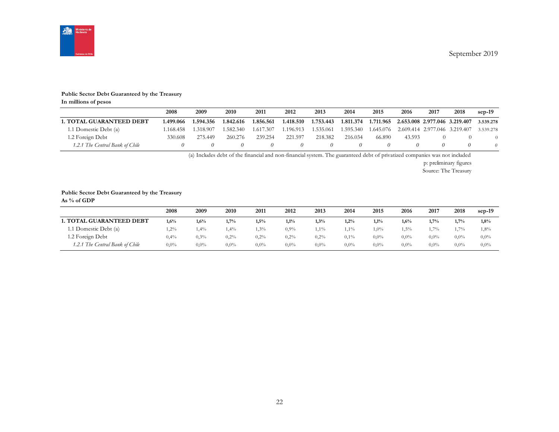

#### **Public Sector Debt Guaranteed by the Treasury**

**In millions of pesos**

|                                 | 2008      | 2009      | 2010      | 2011      | 2012      | 2013           | 2014      | 2015              | 2016                                    | 2017 | 2018     | $sep-19$  |
|---------------------------------|-----------|-----------|-----------|-----------|-----------|----------------|-----------|-------------------|-----------------------------------------|------|----------|-----------|
| <b>1. TOTAL GUARANTEED DEBT</b> | 1.499.066 | 1.594.356 | 1.842.616 | 1.856.561 | 1.418.510 | 1.753.443      | 1.811.374 | 1.711.965         | 2.653.008 2.977.046 3.219.407           |      |          | 3.539.278 |
| 1.1 Domestic Debt (a)           | 1.168.458 | 1.318.907 | .582.340  | 1.617.307 | 1.196.913 | 1.535.061      | 1.595.340 |                   | 1.645.076 2.609.414 2.977.046 3.219.407 |      |          | 3.539.278 |
| 1.2 Foreign Debt                | 330.608   | 275.449   | 260.276   | 239.254   | 221.597   | 218.382        | 216.034   | 66.890            | 43.593                                  |      |          |           |
| 1.2.1 The Central Bank of Chile |           |           |           |           |           | $\prime\prime$ |           | $^{\prime\prime}$ |                                         |      | $\theta$ | 0         |

(a) Includes debt of the financial and non-financial system. The guaranteed debt of privatized companies was not included

p: preliminary figures

Source: The Treasury

#### **Public Sector Debt Guaranteed by the Treasury**

**As % of GDP**

|                                 | 2008    | 2009    | 2010    | 2011    | 2012    | 2013    | 2014    | 2015    | 2016    | 2017    | 2018    | $sep-19$ |
|---------------------------------|---------|---------|---------|---------|---------|---------|---------|---------|---------|---------|---------|----------|
| <b>1. TOTAL GUARANTEED DEBT</b> | 1,6%    | 1,6%    | 1,7%    | 1,5%    | 1,1%    | 1,3%    | 1,2%    | 1,1%    | $1,6\%$ | 1.7%    | 1,7%    | 1,8%     |
| 1.1 Domestic Debt (a)           | $2\%$   | 1,4%    | 1.4%    | $3\%$   | $0.9\%$ | $1,1\%$ | $1,1\%$ | $1,0\%$ | 1,5%    | $1.7\%$ | 1,7%    | 1,8%     |
| 1.2 Foreign Debt                | 0,4%    | $0.3\%$ | 0,2%    | 0,2%    | $0.2\%$ | 0,2%    | $0.1\%$ | $0.0\%$ | $0.0\%$ | $0.0\%$ | $0.0\%$ | $0.0\%$  |
| 1.2.1 The Central Bank of Chile | $0.0\%$ | $0.0\%$ | $0.0\%$ | $0.0\%$ | $0.0\%$ | $0.0\%$ | $0.0\%$ | $0.0\%$ | $0.0\%$ | $0.0\%$ | $0.0\%$ | $0.0\%$  |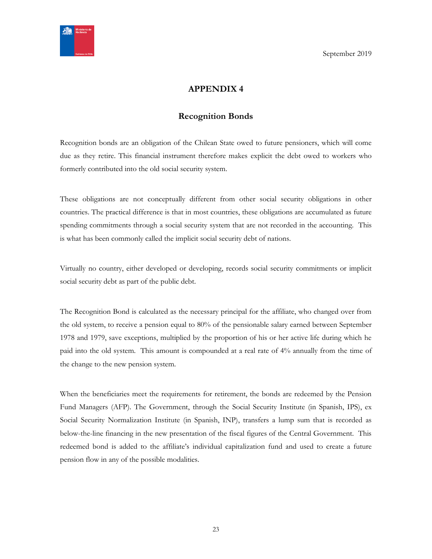<span id="page-22-0"></span>

# **APPENDIX 4**

# **Recognition Bonds**

<span id="page-22-1"></span>Recognition bonds are an obligation of the Chilean State owed to future pensioners, which will come due as they retire. This financial instrument therefore makes explicit the debt owed to workers who formerly contributed into the old social security system.

These obligations are not conceptually different from other social security obligations in other countries. The practical difference is that in most countries, these obligations are accumulated as future spending commitments through a social security system that are not recorded in the accounting. This is what has been commonly called the implicit social security debt of nations.

Virtually no country, either developed or developing, records social security commitments or implicit social security debt as part of the public debt.

The Recognition Bond is calculated as the necessary principal for the affiliate, who changed over from the old system, to receive a pension equal to 80% of the pensionable salary earned between September 1978 and 1979, save exceptions, multiplied by the proportion of his or her active life during which he paid into the old system. This amount is compounded at a real rate of 4% annually from the time of the change to the new pension system.

When the beneficiaries meet the requirements for retirement, the bonds are redeemed by the Pension Fund Managers (AFP). The Government, through the Social Security Institute (in Spanish, IPS), ex Social Security Normalization Institute (in Spanish, INP), transfers a lump sum that is recorded as below-the-line financing in the new presentation of the fiscal figures of the Central Government. This redeemed bond is added to the affiliate's individual capitalization fund and used to create a future pension flow in any of the possible modalities.